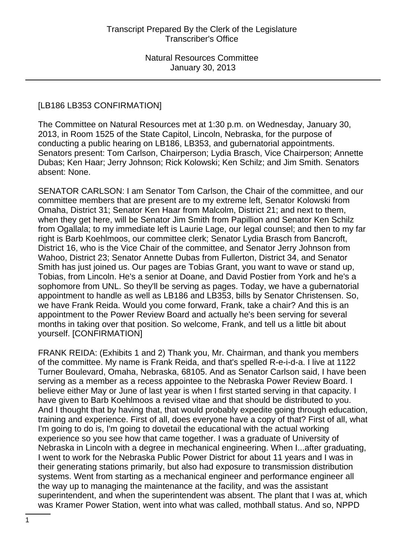#### [LB186 LB353 CONFIRMATION]

The Committee on Natural Resources met at 1:30 p.m. on Wednesday, January 30, 2013, in Room 1525 of the State Capitol, Lincoln, Nebraska, for the purpose of conducting a public hearing on LB186, LB353, and gubernatorial appointments. Senators present: Tom Carlson, Chairperson; Lydia Brasch, Vice Chairperson; Annette Dubas; Ken Haar; Jerry Johnson; Rick Kolowski; Ken Schilz; and Jim Smith. Senators absent: None.

SENATOR CARLSON: I am Senator Tom Carlson, the Chair of the committee, and our committee members that are present are to my extreme left, Senator Kolowski from Omaha, District 31; Senator Ken Haar from Malcolm, District 21; and next to them, when they get here, will be Senator Jim Smith from Papillion and Senator Ken Schilz from Ogallala; to my immediate left is Laurie Lage, our legal counsel; and then to my far right is Barb Koehlmoos, our committee clerk; Senator Lydia Brasch from Bancroft, District 16, who is the Vice Chair of the committee, and Senator Jerry Johnson from Wahoo, District 23; Senator Annette Dubas from Fullerton, District 34, and Senator Smith has just joined us. Our pages are Tobias Grant, you want to wave or stand up, Tobias, from Lincoln. He's a senior at Doane, and David Postier from York and he's a sophomore from UNL. So they'll be serving as pages. Today, we have a gubernatorial appointment to handle as well as LB186 and LB353, bills by Senator Christensen. So, we have Frank Reida. Would you come forward, Frank, take a chair? And this is an appointment to the Power Review Board and actually he's been serving for several months in taking over that position. So welcome, Frank, and tell us a little bit about yourself. [CONFIRMATION]

FRANK REIDA: (Exhibits 1 and 2) Thank you, Mr. Chairman, and thank you members of the committee. My name is Frank Reida, and that's spelled R-e-i-d-a. I live at 1122 Turner Boulevard, Omaha, Nebraska, 68105. And as Senator Carlson said, I have been serving as a member as a recess appointee to the Nebraska Power Review Board. I believe either May or June of last year is when I first started serving in that capacity. I have given to Barb Koehlmoos a revised vitae and that should be distributed to you. And I thought that by having that, that would probably expedite going through education, training and experience. First of all, does everyone have a copy of that? First of all, what I'm going to do is, I'm going to dovetail the educational with the actual working experience so you see how that came together. I was a graduate of University of Nebraska in Lincoln with a degree in mechanical engineering. When I...after graduating, I went to work for the Nebraska Public Power District for about 11 years and I was in their generating stations primarily, but also had exposure to transmission distribution systems. Went from starting as a mechanical engineer and performance engineer all the way up to managing the maintenance at the facility, and was the assistant superintendent, and when the superintendent was absent. The plant that I was at, which was Kramer Power Station, went into what was called, mothball status. And so, NPPD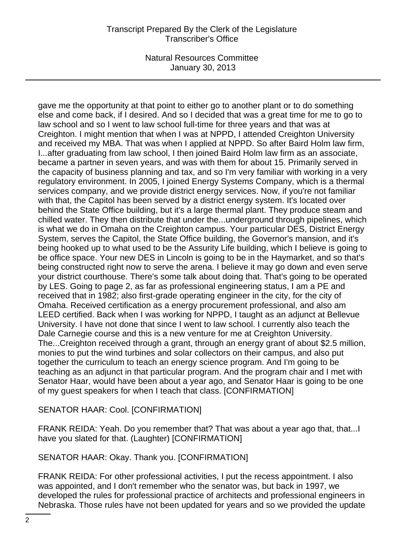# Transcript Prepared By the Clerk of the Legislature Transcriber's Office

Natural Resources Committee January 30, 2013

gave me the opportunity at that point to either go to another plant or to do something else and come back, if I desired. And so I decided that was a great time for me to go to law school and so I went to law school full-time for three years and that was at Creighton. I might mention that when I was at NPPD, I attended Creighton University and received my MBA. That was when I applied at NPPD. So after Baird Holm law firm, I...after graduating from law school, I then joined Baird Holm law firm as an associate, became a partner in seven years, and was with them for about 15. Primarily served in the capacity of business planning and tax, and so I'm very familiar with working in a very regulatory environment. In 2005, I joined Energy Systems Company, which is a thermal services company, and we provide district energy services. Now, if you're not familiar with that, the Capitol has been served by a district energy system. It's located over behind the State Office building, but it's a large thermal plant. They produce steam and chilled water. They then distribute that under the...underground through pipelines, which is what we do in Omaha on the Creighton campus. Your particular DES, District Energy System, serves the Capitol, the State Office building, the Governor's mansion, and it's being hooked up to what used to be the Assurity Life building, which I believe is going to be office space. Your new DES in Lincoln is going to be in the Haymarket, and so that's being constructed right now to serve the arena. I believe it may go down and even serve your district courthouse. There's some talk about doing that. That's going to be operated by LES. Going to page 2, as far as professional engineering status, I am a PE and received that in 1982; also first-grade operating engineer in the city, for the city of Omaha. Received certification as a energy procurement professional, and also am LEED certified. Back when I was working for NPPD, I taught as an adjunct at Bellevue University. I have not done that since I went to law school. I currently also teach the Dale Carnegie course and this is a new venture for me at Creighton University. The...Creighton received through a grant, through an energy grant of about \$2.5 million, monies to put the wind turbines and solar collectors on their campus, and also put together the curriculum to teach an energy science program. And I'm going to be teaching as an adjunct in that particular program. And the program chair and I met with Senator Haar, would have been about a year ago, and Senator Haar is going to be one of my guest speakers for when I teach that class. [CONFIRMATION]

#### SENATOR HAAR: Cool. [CONFIRMATION]

FRANK REIDA: Yeah. Do you remember that? That was about a year ago that, that...I have you slated for that. (Laughter) [CONFIRMATION]

# SENATOR HAAR: Okay. Thank you. [CONFIRMATION]

FRANK REIDA: For other professional activities, I put the recess appointment. I also was appointed, and I don't remember who the senator was, but back in 1997, we developed the rules for professional practice of architects and professional engineers in Nebraska. Those rules have not been updated for years and so we provided the update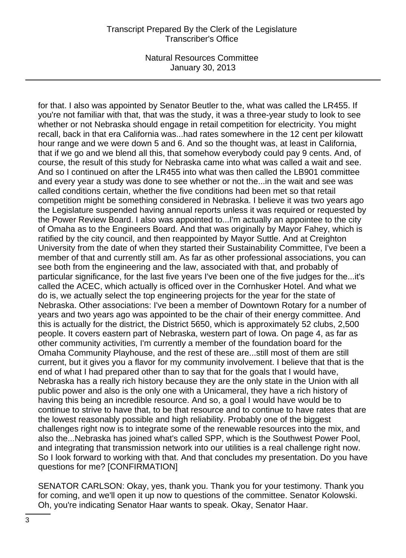for that. I also was appointed by Senator Beutler to the, what was called the LR455. If you're not familiar with that, that was the study, it was a three-year study to look to see whether or not Nebraska should engage in retail competition for electricity. You might recall, back in that era California was...had rates somewhere in the 12 cent per kilowatt hour range and we were down 5 and 6. And so the thought was, at least in California, that if we go and we blend all this, that somehow everybody could pay 9 cents. And, of course, the result of this study for Nebraska came into what was called a wait and see. And so I continued on after the LR455 into what was then called the LB901 committee and every year a study was done to see whether or not the...in the wait and see was called conditions certain, whether the five conditions had been met so that retail competition might be something considered in Nebraska. I believe it was two years ago the Legislature suspended having annual reports unless it was required or requested by the Power Review Board. I also was appointed to...I'm actually an appointee to the city of Omaha as to the Engineers Board. And that was originally by Mayor Fahey, which is ratified by the city council, and then reappointed by Mayor Suttle. And at Creighton University from the date of when they started their Sustainability Committee, I've been a member of that and currently still am. As far as other professional associations, you can see both from the engineering and the law, associated with that, and probably of particular significance, for the last five years I've been one of the five judges for the...it's called the ACEC, which actually is officed over in the Cornhusker Hotel. And what we do is, we actually select the top engineering projects for the year for the state of Nebraska. Other associations: I've been a member of Downtown Rotary for a number of years and two years ago was appointed to be the chair of their energy committee. And this is actually for the district, the District 5650, which is approximately 52 clubs, 2,500 people. It covers eastern part of Nebraska, western part of Iowa. On page 4, as far as other community activities, I'm currently a member of the foundation board for the Omaha Community Playhouse, and the rest of these are...still most of them are still current, but it gives you a flavor for my community involvement. I believe that that is the end of what I had prepared other than to say that for the goals that I would have, Nebraska has a really rich history because they are the only state in the Union with all public power and also is the only one with a Unicameral, they have a rich history of having this being an incredible resource. And so, a goal I would have would be to continue to strive to have that, to be that resource and to continue to have rates that are the lowest reasonably possible and high reliability. Probably one of the biggest challenges right now is to integrate some of the renewable resources into the mix, and also the...Nebraska has joined what's called SPP, which is the Southwest Power Pool, and integrating that transmission network into our utilities is a real challenge right now. So I look forward to working with that. And that concludes my presentation. Do you have questions for me? [CONFIRMATION]

SENATOR CARLSON: Okay, yes, thank you. Thank you for your testimony. Thank you for coming, and we'll open it up now to questions of the committee. Senator Kolowski. Oh, you're indicating Senator Haar wants to speak. Okay, Senator Haar.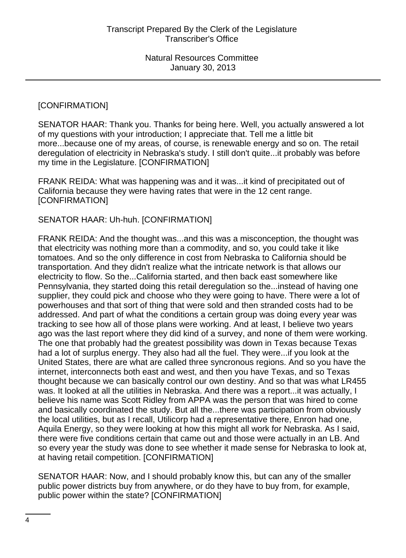### [CONFIRMATION]

SENATOR HAAR: Thank you. Thanks for being here. Well, you actually answered a lot of my questions with your introduction; I appreciate that. Tell me a little bit more...because one of my areas, of course, is renewable energy and so on. The retail deregulation of electricity in Nebraska's study. I still don't quite...it probably was before my time in the Legislature. [CONFIRMATION]

FRANK REIDA: What was happening was and it was...it kind of precipitated out of California because they were having rates that were in the 12 cent range. [CONFIRMATION]

## SENATOR HAAR: Uh-huh. [CONFIRMATION]

FRANK REIDA: And the thought was...and this was a misconception, the thought was that electricity was nothing more than a commodity, and so, you could take it like tomatoes. And so the only difference in cost from Nebraska to California should be transportation. And they didn't realize what the intricate network is that allows our electricity to flow. So the...California started, and then back east somewhere like Pennsylvania, they started doing this retail deregulation so the...instead of having one supplier, they could pick and choose who they were going to have. There were a lot of powerhouses and that sort of thing that were sold and then stranded costs had to be addressed. And part of what the conditions a certain group was doing every year was tracking to see how all of those plans were working. And at least, I believe two years ago was the last report where they did kind of a survey, and none of them were working. The one that probably had the greatest possibility was down in Texas because Texas had a lot of surplus energy. They also had all the fuel. They were...if you look at the United States, there are what are called three syncronous regions. And so you have the internet, interconnects both east and west, and then you have Texas, and so Texas thought because we can basically control our own destiny. And so that was what LR455 was. It looked at all the utilities in Nebraska. And there was a report...it was actually, I believe his name was Scott Ridley from APPA was the person that was hired to come and basically coordinated the study. But all the...there was participation from obviously the local utilities, but as I recall, Utilicorp had a representative there, Enron had one, Aquila Energy, so they were looking at how this might all work for Nebraska. As I said, there were five conditions certain that came out and those were actually in an LB. And so every year the study was done to see whether it made sense for Nebraska to look at, at having retail competition. [CONFIRMATION]

SENATOR HAAR: Now, and I should probably know this, but can any of the smaller public power districts buy from anywhere, or do they have to buy from, for example, public power within the state? [CONFIRMATION]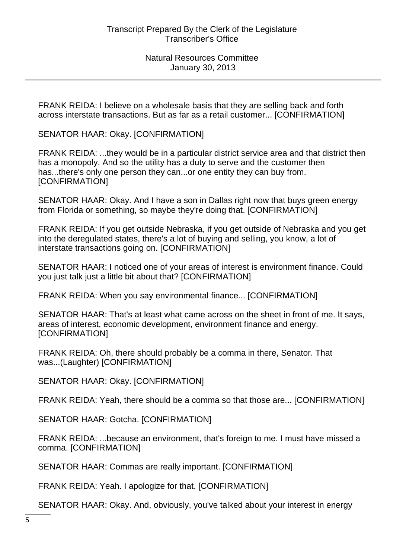FRANK REIDA: I believe on a wholesale basis that they are selling back and forth across interstate transactions. But as far as a retail customer... [CONFIRMATION]

SENATOR HAAR: Okay. [CONFIRMATION]

FRANK REIDA: ...they would be in a particular district service area and that district then has a monopoly. And so the utility has a duty to serve and the customer then has...there's only one person they can...or one entity they can buy from. [CONFIRMATION]

SENATOR HAAR: Okay. And I have a son in Dallas right now that buys green energy from Florida or something, so maybe they're doing that. [CONFIRMATION]

FRANK REIDA: If you get outside Nebraska, if you get outside of Nebraska and you get into the deregulated states, there's a lot of buying and selling, you know, a lot of interstate transactions going on. [CONFIRMATION]

SENATOR HAAR: I noticed one of your areas of interest is environment finance. Could you just talk just a little bit about that? [CONFIRMATION]

FRANK REIDA: When you say environmental finance... [CONFIRMATION]

SENATOR HAAR: That's at least what came across on the sheet in front of me. It says, areas of interest, economic development, environment finance and energy. [CONFIRMATION]

FRANK REIDA: Oh, there should probably be a comma in there, Senator. That was...(Laughter) [CONFIRMATION]

SENATOR HAAR: Okay. [CONFIRMATION]

FRANK REIDA: Yeah, there should be a comma so that those are... [CONFIRMATION]

SENATOR HAAR: Gotcha. [CONFIRMATION]

FRANK REIDA: ...because an environment, that's foreign to me. I must have missed a comma. [CONFIRMATION]

SENATOR HAAR: Commas are really important. [CONFIRMATION]

FRANK REIDA: Yeah. I apologize for that. [CONFIRMATION]

SENATOR HAAR: Okay. And, obviously, you've talked about your interest in energy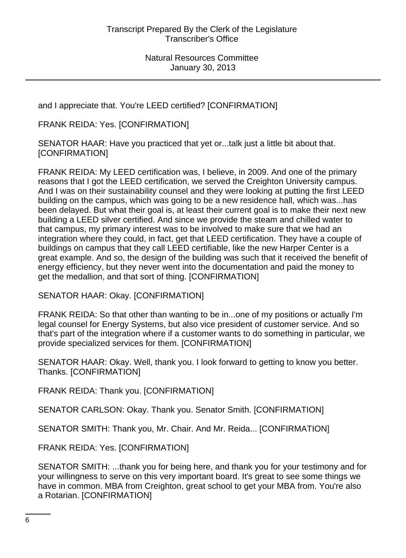and I appreciate that. You're LEED certified? [CONFIRMATION]

FRANK REIDA: Yes. [CONFIRMATION]

SENATOR HAAR: Have you practiced that yet or...talk just a little bit about that. [CONFIRMATION]

FRANK REIDA: My LEED certification was, I believe, in 2009. And one of the primary reasons that I got the LEED certification, we served the Creighton University campus. And I was on their sustainability counsel and they were looking at putting the first LEED building on the campus, which was going to be a new residence hall, which was...has been delayed. But what their goal is, at least their current goal is to make their next new building a LEED silver certified. And since we provide the steam and chilled water to that campus, my primary interest was to be involved to make sure that we had an integration where they could, in fact, get that LEED certification. They have a couple of buildings on campus that they call LEED certifiable, like the new Harper Center is a great example. And so, the design of the building was such that it received the benefit of energy efficiency, but they never went into the documentation and paid the money to get the medallion, and that sort of thing. [CONFIRMATION]

SENATOR HAAR: Okay. [CONFIRMATION]

FRANK REIDA: So that other than wanting to be in...one of my positions or actually I'm legal counsel for Energy Systems, but also vice president of customer service. And so that's part of the integration where if a customer wants to do something in particular, we provide specialized services for them. [CONFIRMATION]

SENATOR HAAR: Okay. Well, thank you. I look forward to getting to know you better. Thanks. [CONFIRMATION]

FRANK REIDA: Thank you. [CONFIRMATION]

SENATOR CARLSON: Okay. Thank you. Senator Smith. [CONFIRMATION]

SENATOR SMITH: Thank you, Mr. Chair. And Mr. Reida... [CONFIRMATION]

FRANK REIDA: Yes. [CONFIRMATION]

SENATOR SMITH: ...thank you for being here, and thank you for your testimony and for your willingness to serve on this very important board. It's great to see some things we have in common. MBA from Creighton, great school to get your MBA from. You're also a Rotarian. [CONFIRMATION]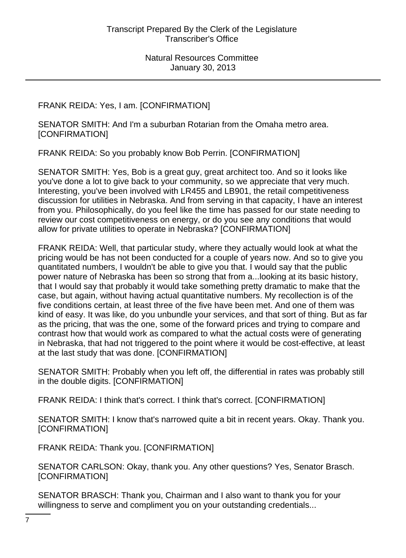FRANK REIDA: Yes, I am. [CONFIRMATION]

SENATOR SMITH: And I'm a suburban Rotarian from the Omaha metro area. [CONFIRMATION]

FRANK REIDA: So you probably know Bob Perrin. [CONFIRMATION]

SENATOR SMITH: Yes, Bob is a great guy, great architect too. And so it looks like you've done a lot to give back to your community, so we appreciate that very much. Interesting, you've been involved with LR455 and LB901, the retail competitiveness discussion for utilities in Nebraska. And from serving in that capacity, I have an interest from you. Philosophically, do you feel like the time has passed for our state needing to review our cost competitiveness on energy, or do you see any conditions that would allow for private utilities to operate in Nebraska? [CONFIRMATION]

FRANK REIDA: Well, that particular study, where they actually would look at what the pricing would be has not been conducted for a couple of years now. And so to give you quantitated numbers, I wouldn't be able to give you that. I would say that the public power nature of Nebraska has been so strong that from a...looking at its basic history, that I would say that probably it would take something pretty dramatic to make that the case, but again, without having actual quantitative numbers. My recollection is of the five conditions certain, at least three of the five have been met. And one of them was kind of easy. It was like, do you unbundle your services, and that sort of thing. But as far as the pricing, that was the one, some of the forward prices and trying to compare and contrast how that would work as compared to what the actual costs were of generating in Nebraska, that had not triggered to the point where it would be cost-effective, at least at the last study that was done. [CONFIRMATION]

SENATOR SMITH: Probably when you left off, the differential in rates was probably still in the double digits. [CONFIRMATION]

FRANK REIDA: I think that's correct. I think that's correct. [CONFIRMATION]

SENATOR SMITH: I know that's narrowed quite a bit in recent years. Okay. Thank you. [CONFIRMATION]

FRANK REIDA: Thank you. [CONFIRMATION]

SENATOR CARLSON: Okay, thank you. Any other questions? Yes, Senator Brasch. [CONFIRMATION]

SENATOR BRASCH: Thank you, Chairman and I also want to thank you for your willingness to serve and compliment you on your outstanding credentials...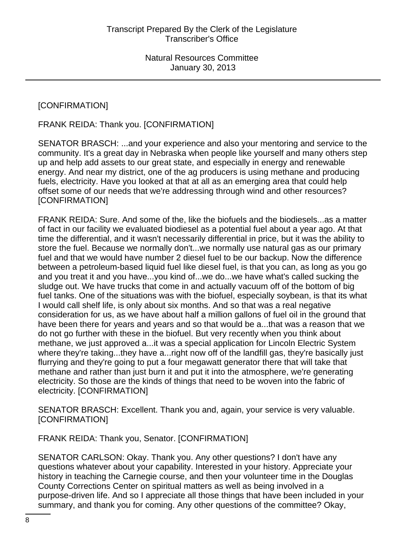# [CONFIRMATION]

FRANK REIDA: Thank you. [CONFIRMATION]

SENATOR BRASCH: ...and your experience and also your mentoring and service to the community. It's a great day in Nebraska when people like yourself and many others step up and help add assets to our great state, and especially in energy and renewable energy. And near my district, one of the ag producers is using methane and producing fuels, electricity. Have you looked at that at all as an emerging area that could help offset some of our needs that we're addressing through wind and other resources? [CONFIRMATION]

FRANK REIDA: Sure. And some of the, like the biofuels and the biodiesels...as a matter of fact in our facility we evaluated biodiesel as a potential fuel about a year ago. At that time the differential, and it wasn't necessarily differential in price, but it was the ability to store the fuel. Because we normally don't...we normally use natural gas as our primary fuel and that we would have number 2 diesel fuel to be our backup. Now the difference between a petroleum-based liquid fuel like diesel fuel, is that you can, as long as you go and you treat it and you have...you kind of...we do...we have what's called sucking the sludge out. We have trucks that come in and actually vacuum off of the bottom of big fuel tanks. One of the situations was with the biofuel, especially soybean, is that its what I would call shelf life, is only about six months. And so that was a real negative consideration for us, as we have about half a million gallons of fuel oil in the ground that have been there for years and years and so that would be a...that was a reason that we do not go further with these in the biofuel. But very recently when you think about methane, we just approved a...it was a special application for Lincoln Electric System where they're taking...they have a...right now off of the landfill gas, they're basically just flurrying and they're going to put a four megawatt generator there that will take that methane and rather than just burn it and put it into the atmosphere, we're generating electricity. So those are the kinds of things that need to be woven into the fabric of electricity. [CONFIRMATION]

SENATOR BRASCH: Excellent. Thank you and, again, your service is very valuable. [CONFIRMATION]

FRANK REIDA: Thank you, Senator. [CONFIRMATION]

SENATOR CARLSON: Okay. Thank you. Any other questions? I don't have any questions whatever about your capability. Interested in your history. Appreciate your history in teaching the Carnegie course, and then your volunteer time in the Douglas County Corrections Center on spiritual matters as well as being involved in a purpose-driven life. And so I appreciate all those things that have been included in your summary, and thank you for coming. Any other questions of the committee? Okay,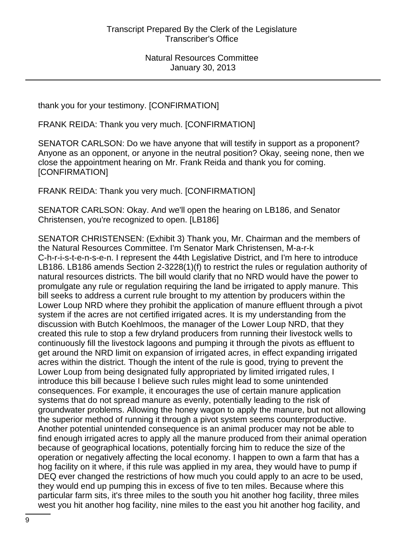thank you for your testimony. [CONFIRMATION]

FRANK REIDA: Thank you very much. [CONFIRMATION]

SENATOR CARLSON: Do we have anyone that will testify in support as a proponent? Anyone as an opponent, or anyone in the neutral position? Okay, seeing none, then we close the appointment hearing on Mr. Frank Reida and thank you for coming. [CONFIRMATION]

FRANK REIDA: Thank you very much. [CONFIRMATION]

SENATOR CARLSON: Okay. And we'll open the hearing on LB186, and Senator Christensen, you're recognized to open. [LB186]

SENATOR CHRISTENSEN: (Exhibit 3) Thank you, Mr. Chairman and the members of the Natural Resources Committee. I'm Senator Mark Christensen, M-a-r-k C-h-r-i-s-t-e-n-s-e-n. I represent the 44th Legislative District, and I'm here to introduce LB186. LB186 amends Section 2-3228(1)(f) to restrict the rules or regulation authority of natural resources districts. The bill would clarify that no NRD would have the power to promulgate any rule or regulation requiring the land be irrigated to apply manure. This bill seeks to address a current rule brought to my attention by producers within the Lower Loup NRD where they prohibit the application of manure effluent through a pivot system if the acres are not certified irrigated acres. It is my understanding from the discussion with Butch Koehlmoos, the manager of the Lower Loup NRD, that they created this rule to stop a few dryland producers from running their livestock wells to continuously fill the livestock lagoons and pumping it through the pivots as effluent to get around the NRD limit on expansion of irrigated acres, in effect expanding irrigated acres within the district. Though the intent of the rule is good, trying to prevent the Lower Loup from being designated fully appropriated by limited irrigated rules, I introduce this bill because I believe such rules might lead to some unintended consequences. For example, it encourages the use of certain manure application systems that do not spread manure as evenly, potentially leading to the risk of groundwater problems. Allowing the honey wagon to apply the manure, but not allowing the superior method of running it through a pivot system seems counterproductive. Another potential unintended consequence is an animal producer may not be able to find enough irrigated acres to apply all the manure produced from their animal operation because of geographical locations, potentially forcing him to reduce the size of the operation or negatively affecting the local economy. I happen to own a farm that has a hog facility on it where, if this rule was applied in my area, they would have to pump if DEQ ever changed the restrictions of how much you could apply to an acre to be used, they would end up pumping this in excess of five to ten miles. Because where this particular farm sits, it's three miles to the south you hit another hog facility, three miles west you hit another hog facility, nine miles to the east you hit another hog facility, and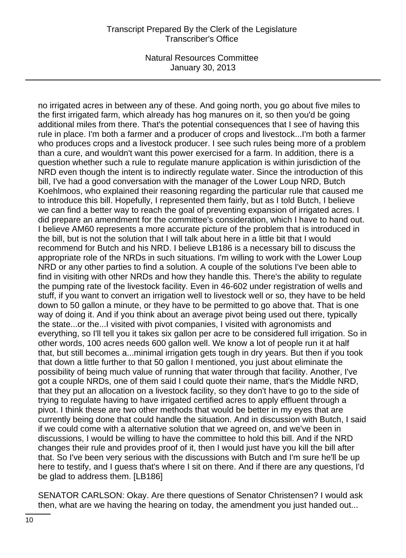### Transcript Prepared By the Clerk of the Legislature Transcriber's Office

Natural Resources Committee January 30, 2013

no irrigated acres in between any of these. And going north, you go about five miles to the first irrigated farm, which already has hog manures on it, so then you'd be going additional miles from there. That's the potential consequences that I see of having this rule in place. I'm both a farmer and a producer of crops and livestock...I'm both a farmer who produces crops and a livestock producer. I see such rules being more of a problem than a cure, and wouldn't want this power exercised for a farm. In addition, there is a question whether such a rule to regulate manure application is within jurisdiction of the NRD even though the intent is to indirectly regulate water. Since the introduction of this bill, I've had a good conversation with the manager of the Lower Loup NRD, Butch Koehlmoos, who explained their reasoning regarding the particular rule that caused me to introduce this bill. Hopefully, I represented them fairly, but as I told Butch, I believe we can find a better way to reach the goal of preventing expansion of irrigated acres. I did prepare an amendment for the committee's consideration, which I have to hand out. I believe AM60 represents a more accurate picture of the problem that is introduced in the bill, but is not the solution that I will talk about here in a little bit that I would recommend for Butch and his NRD. I believe LB186 is a necessary bill to discuss the appropriate role of the NRDs in such situations. I'm willing to work with the Lower Loup NRD or any other parties to find a solution. A couple of the solutions I've been able to find in visiting with other NRDs and how they handle this. There's the ability to regulate the pumping rate of the livestock facility. Even in 46-602 under registration of wells and stuff, if you want to convert an irrigation well to livestock well or so, they have to be held down to 50 gallon a minute, or they have to be permitted to go above that. That is one way of doing it. And if you think about an average pivot being used out there, typically the state...or the...I visited with pivot companies, I visited with agronomists and everything, so I'll tell you it takes six gallon per acre to be considered full irrigation. So in other words, 100 acres needs 600 gallon well. We know a lot of people run it at half that, but still becomes a...minimal irrigation gets tough in dry years. But then if you took that down a little further to that 50 gallon I mentioned, you just about eliminate the possibility of being much value of running that water through that facility. Another, I've got a couple NRDs, one of them said I could quote their name, that's the Middle NRD, that they put an allocation on a livestock facility, so they don't have to go to the side of trying to regulate having to have irrigated certified acres to apply effluent through a pivot. I think these are two other methods that would be better in my eyes that are currently being done that could handle the situation. And in discussion with Butch, I said if we could come with a alternative solution that we agreed on, and we've been in discussions, I would be willing to have the committee to hold this bill. And if the NRD changes their rule and provides proof of it, then I would just have you kill the bill after that. So I've been very serious with the discussions with Butch and I'm sure he'll be up here to testify, and I guess that's where I sit on there. And if there are any questions, I'd be glad to address them. [LB186]

SENATOR CARLSON: Okay. Are there questions of Senator Christensen? I would ask then, what are we having the hearing on today, the amendment you just handed out...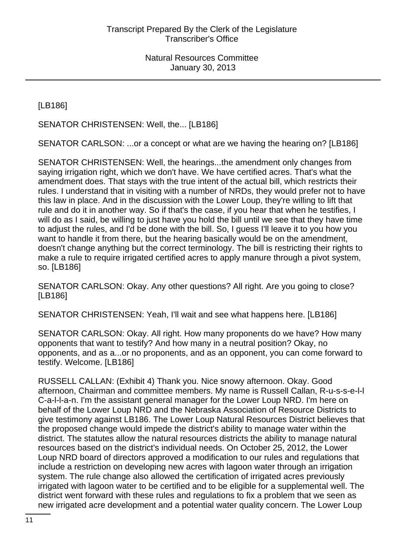[LB186]

SENATOR CHRISTENSEN: Well, the... [LB186]

SENATOR CARLSON: ...or a concept or what are we having the hearing on? [LB186]

SENATOR CHRISTENSEN: Well, the hearings...the amendment only changes from saying irrigation right, which we don't have. We have certified acres. That's what the amendment does. That stays with the true intent of the actual bill, which restricts their rules. I understand that in visiting with a number of NRDs, they would prefer not to have this law in place. And in the discussion with the Lower Loup, they're willing to lift that rule and do it in another way. So if that's the case, if you hear that when he testifies, I will do as I said, be willing to just have you hold the bill until we see that they have time to adjust the rules, and I'd be done with the bill. So, I guess I'll leave it to you how you want to handle it from there, but the hearing basically would be on the amendment, doesn't change anything but the correct terminology. The bill is restricting their rights to make a rule to require irrigated certified acres to apply manure through a pivot system, so. [LB186]

SENATOR CARLSON: Okay. Any other questions? All right. Are you going to close? [LB186]

SENATOR CHRISTENSEN: Yeah, I'll wait and see what happens here. [LB186]

SENATOR CARLSON: Okay. All right. How many proponents do we have? How many opponents that want to testify? And how many in a neutral position? Okay, no opponents, and as a...or no proponents, and as an opponent, you can come forward to testify. Welcome. [LB186]

RUSSELL CALLAN: (Exhibit 4) Thank you. Nice snowy afternoon. Okay. Good afternoon, Chairman and committee members. My name is Russell Callan, R-u-s-s-e-l-l C-a-l-l-a-n. I'm the assistant general manager for the Lower Loup NRD. I'm here on behalf of the Lower Loup NRD and the Nebraska Association of Resource Districts to give testimony against LB186. The Lower Loup Natural Resources District believes that the proposed change would impede the district's ability to manage water within the district. The statutes allow the natural resources districts the ability to manage natural resources based on the district's individual needs. On October 25, 2012, the Lower Loup NRD board of directors approved a modification to our rules and regulations that include a restriction on developing new acres with lagoon water through an irrigation system. The rule change also allowed the certification of irrigated acres previously irrigated with lagoon water to be certified and to be eligible for a supplemental well. The district went forward with these rules and regulations to fix a problem that we seen as new irrigated acre development and a potential water quality concern. The Lower Loup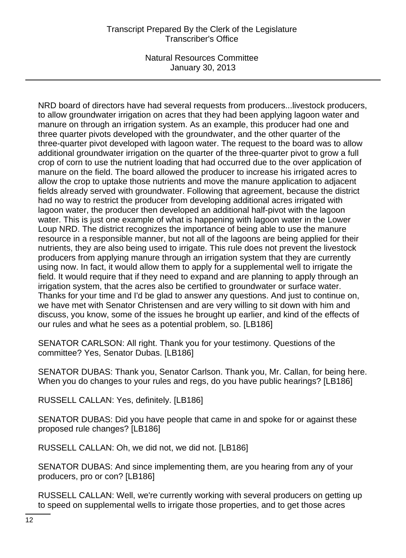NRD board of directors have had several requests from producers...livestock producers, to allow groundwater irrigation on acres that they had been applying lagoon water and manure on through an irrigation system. As an example, this producer had one and three quarter pivots developed with the groundwater, and the other quarter of the three-quarter pivot developed with lagoon water. The request to the board was to allow additional groundwater irrigation on the quarter of the three-quarter pivot to grow a full crop of corn to use the nutrient loading that had occurred due to the over application of manure on the field. The board allowed the producer to increase his irrigated acres to allow the crop to uptake those nutrients and move the manure application to adjacent fields already served with groundwater. Following that agreement, because the district had no way to restrict the producer from developing additional acres irrigated with lagoon water, the producer then developed an additional half-pivot with the lagoon water. This is just one example of what is happening with lagoon water in the Lower Loup NRD. The district recognizes the importance of being able to use the manure resource in a responsible manner, but not all of the lagoons are being applied for their nutrients, they are also being used to irrigate. This rule does not prevent the livestock producers from applying manure through an irrigation system that they are currently using now. In fact, it would allow them to apply for a supplemental well to irrigate the field. It would require that if they need to expand and are planning to apply through an irrigation system, that the acres also be certified to groundwater or surface water. Thanks for your time and I'd be glad to answer any questions. And just to continue on, we have met with Senator Christensen and are very willing to sit down with him and discuss, you know, some of the issues he brought up earlier, and kind of the effects of our rules and what he sees as a potential problem, so. [LB186]

SENATOR CARLSON: All right. Thank you for your testimony. Questions of the committee? Yes, Senator Dubas. [LB186]

SENATOR DUBAS: Thank you, Senator Carlson. Thank you, Mr. Callan, for being here. When you do changes to your rules and regs, do you have public hearings? [LB186]

RUSSELL CALLAN: Yes, definitely. [LB186]

SENATOR DUBAS: Did you have people that came in and spoke for or against these proposed rule changes? [LB186]

RUSSELL CALLAN: Oh, we did not, we did not. [LB186]

SENATOR DUBAS: And since implementing them, are you hearing from any of your producers, pro or con? [LB186]

RUSSELL CALLAN: Well, we're currently working with several producers on getting up to speed on supplemental wells to irrigate those properties, and to get those acres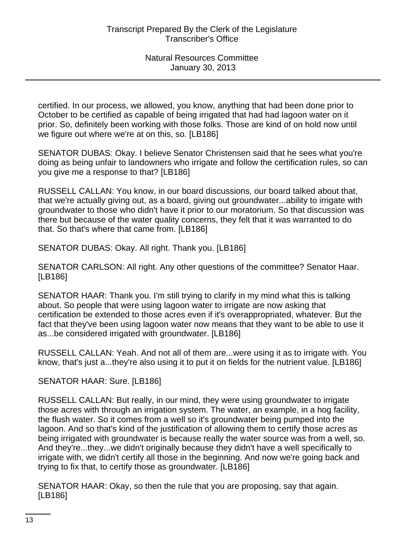certified. In our process, we allowed, you know, anything that had been done prior to October to be certified as capable of being irrigated that had had lagoon water on it prior. So, definitely been working with those folks. Those are kind of on hold now until we figure out where we're at on this, so. [LB186]

SENATOR DUBAS: Okay. I believe Senator Christensen said that he sees what you're doing as being unfair to landowners who irrigate and follow the certification rules, so can you give me a response to that? [LB186]

RUSSELL CALLAN: You know, in our board discussions, our board talked about that, that we're actually giving out, as a board, giving out groundwater...ability to irrigate with groundwater to those who didn't have it prior to our moratorium. So that discussion was there but because of the water quality concerns, they felt that it was warranted to do that. So that's where that came from. [LB186]

SENATOR DUBAS: Okay. All right. Thank you. [LB186]

SENATOR CARLSON: All right. Any other questions of the committee? Senator Haar. [LB186]

SENATOR HAAR: Thank you. I'm still trying to clarify in my mind what this is talking about. So people that were using lagoon water to irrigate are now asking that certification be extended to those acres even if it's overappropriated, whatever. But the fact that they've been using lagoon water now means that they want to be able to use it as...be considered irrigated with groundwater. [LB186]

RUSSELL CALLAN: Yeah. And not all of them are...were using it as to irrigate with. You know, that's just a...they're also using it to put it on fields for the nutrient value. [LB186]

SENATOR HAAR: Sure. [LB186]

RUSSELL CALLAN: But really, in our mind, they were using groundwater to irrigate those acres with through an irrigation system. The water, an example, in a hog facility, the flush water. So it comes from a well so it's groundwater being pumped into the lagoon. And so that's kind of the justification of allowing them to certify those acres as being irrigated with groundwater is because really the water source was from a well, so. And they're...they...we didn't originally because they didn't have a well specifically to irrigate with, we didn't certify all those in the beginning. And now we're going back and trying to fix that, to certify those as groundwater. [LB186]

SENATOR HAAR: Okay, so then the rule that you are proposing, say that again. [LB186]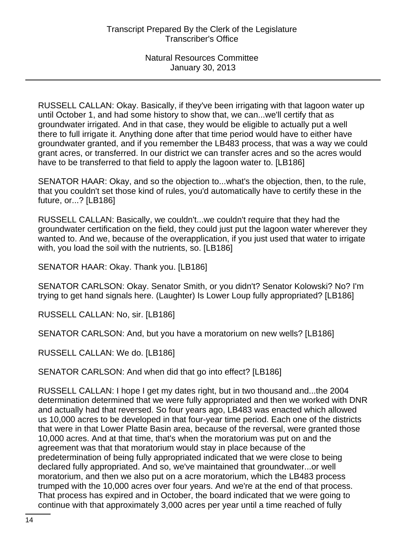RUSSELL CALLAN: Okay. Basically, if they've been irrigating with that lagoon water up until October 1, and had some history to show that, we can...we'll certify that as groundwater irrigated. And in that case, they would be eligible to actually put a well there to full irrigate it. Anything done after that time period would have to either have groundwater granted, and if you remember the LB483 process, that was a way we could grant acres, or transferred. In our district we can transfer acres and so the acres would have to be transferred to that field to apply the lagoon water to. [LB186]

SENATOR HAAR: Okay, and so the objection to...what's the objection, then, to the rule, that you couldn't set those kind of rules, you'd automatically have to certify these in the future, or...? [LB186]

RUSSELL CALLAN: Basically, we couldn't...we couldn't require that they had the groundwater certification on the field, they could just put the lagoon water wherever they wanted to. And we, because of the overapplication, if you just used that water to irrigate with, you load the soil with the nutrients, so. [LB186]

SENATOR HAAR: Okay. Thank you. [LB186]

SENATOR CARLSON: Okay. Senator Smith, or you didn't? Senator Kolowski? No? I'm trying to get hand signals here. (Laughter) Is Lower Loup fully appropriated? [LB186]

RUSSELL CALLAN: No, sir. [LB186]

SENATOR CARLSON: And, but you have a moratorium on new wells? [LB186]

RUSSELL CALLAN: We do. [LB186]

SENATOR CARLSON: And when did that go into effect? [LB186]

RUSSELL CALLAN: I hope I get my dates right, but in two thousand and...the 2004 determination determined that we were fully appropriated and then we worked with DNR and actually had that reversed. So four years ago, LB483 was enacted which allowed us 10,000 acres to be developed in that four-year time period. Each one of the districts that were in that Lower Platte Basin area, because of the reversal, were granted those 10,000 acres. And at that time, that's when the moratorium was put on and the agreement was that that moratorium would stay in place because of the predetermination of being fully appropriated indicated that we were close to being declared fully appropriated. And so, we've maintained that groundwater...or well moratorium, and then we also put on a acre moratorium, which the LB483 process trumped with the 10,000 acres over four years. And we're at the end of that process. That process has expired and in October, the board indicated that we were going to continue with that approximately 3,000 acres per year until a time reached of fully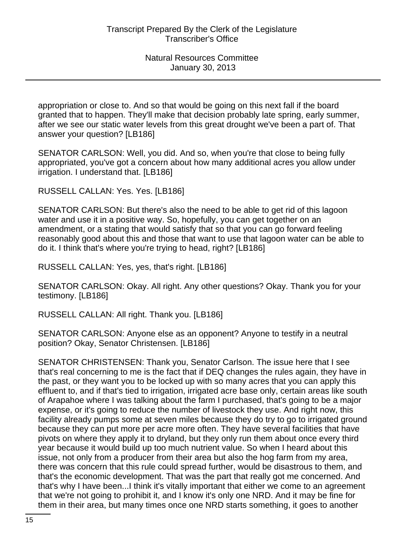appropriation or close to. And so that would be going on this next fall if the board granted that to happen. They'll make that decision probably late spring, early summer, after we see our static water levels from this great drought we've been a part of. That answer your question? [LB186]

SENATOR CARLSON: Well, you did. And so, when you're that close to being fully appropriated, you've got a concern about how many additional acres you allow under irrigation. I understand that. [LB186]

RUSSELL CALLAN: Yes. Yes. [LB186]

SENATOR CARLSON: But there's also the need to be able to get rid of this lagoon water and use it in a positive way. So, hopefully, you can get together on an amendment, or a stating that would satisfy that so that you can go forward feeling reasonably good about this and those that want to use that lagoon water can be able to do it. I think that's where you're trying to head, right? [LB186]

RUSSELL CALLAN: Yes, yes, that's right. [LB186]

SENATOR CARLSON: Okay. All right. Any other questions? Okay. Thank you for your testimony. [LB186]

RUSSELL CALLAN: All right. Thank you. [LB186]

SENATOR CARLSON: Anyone else as an opponent? Anyone to testify in a neutral position? Okay, Senator Christensen. [LB186]

SENATOR CHRISTENSEN: Thank you, Senator Carlson. The issue here that I see that's real concerning to me is the fact that if DEQ changes the rules again, they have in the past, or they want you to be locked up with so many acres that you can apply this effluent to, and if that's tied to irrigation, irrigated acre base only, certain areas like south of Arapahoe where I was talking about the farm I purchased, that's going to be a major expense, or it's going to reduce the number of livestock they use. And right now, this facility already pumps some at seven miles because they do try to go to irrigated ground because they can put more per acre more often. They have several facilities that have pivots on where they apply it to dryland, but they only run them about once every third year because it would build up too much nutrient value. So when I heard about this issue, not only from a producer from their area but also the hog farm from my area, there was concern that this rule could spread further, would be disastrous to them, and that's the economic development. That was the part that really got me concerned. And that's why I have been...I think it's vitally important that either we come to an agreement that we're not going to prohibit it, and I know it's only one NRD. And it may be fine for them in their area, but many times once one NRD starts something, it goes to another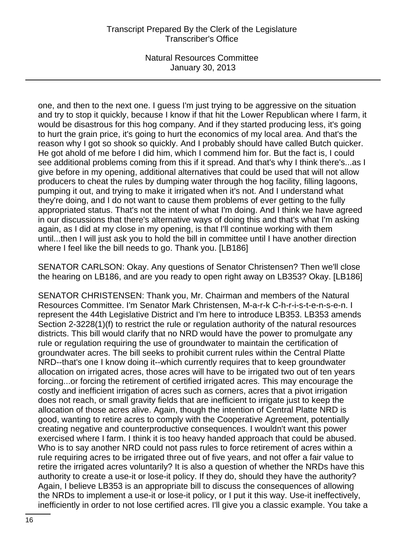## Transcript Prepared By the Clerk of the Legislature Transcriber's Office

Natural Resources Committee January 30, 2013

one, and then to the next one. I guess I'm just trying to be aggressive on the situation and try to stop it quickly, because I know if that hit the Lower Republican where I farm, it would be disastrous for this hog company. And if they started producing less, it's going to hurt the grain price, it's going to hurt the economics of my local area. And that's the reason why I got so shook so quickly. And I probably should have called Butch quicker. He got ahold of me before I did him, which I commend him for. But the fact is, I could see additional problems coming from this if it spread. And that's why I think there's...as I give before in my opening, additional alternatives that could be used that will not allow producers to cheat the rules by dumping water through the hog facility, filling lagoons, pumping it out, and trying to make it irrigated when it's not. And I understand what they're doing, and I do not want to cause them problems of ever getting to the fully appropriated status. That's not the intent of what I'm doing. And I think we have agreed in our discussions that there's alternative ways of doing this and that's what I'm asking again, as I did at my close in my opening, is that I'll continue working with them until...then I will just ask you to hold the bill in committee until I have another direction where I feel like the bill needs to go. Thank you. [LB186]

SENATOR CARLSON: Okay. Any questions of Senator Christensen? Then we'll close the hearing on LB186, and are you ready to open right away on LB353? Okay. [LB186]

SENATOR CHRISTENSEN: Thank you, Mr. Chairman and members of the Natural Resources Committee. I'm Senator Mark Christensen, M-a-r-k C-h-r-i-s-t-e-n-s-e-n. I represent the 44th Legislative District and I'm here to introduce LB353. LB353 amends Section 2-3228(1)(f) to restrict the rule or regulation authority of the natural resources districts. This bill would clarify that no NRD would have the power to promulgate any rule or regulation requiring the use of groundwater to maintain the certification of groundwater acres. The bill seeks to prohibit current rules within the Central Platte NRD--that's one I know doing it--which currently requires that to keep groundwater allocation on irrigated acres, those acres will have to be irrigated two out of ten years forcing...or forcing the retirement of certified irrigated acres. This may encourage the costly and inefficient irrigation of acres such as corners, acres that a pivot irrigation does not reach, or small gravity fields that are inefficient to irrigate just to keep the allocation of those acres alive. Again, though the intention of Central Platte NRD is good, wanting to retire acres to comply with the Cooperative Agreement, potentially creating negative and counterproductive consequences. I wouldn't want this power exercised where I farm. I think it is too heavy handed approach that could be abused. Who is to say another NRD could not pass rules to force retirement of acres within a rule requiring acres to be irrigated three out of five years, and not offer a fair value to retire the irrigated acres voluntarily? It is also a question of whether the NRDs have this authority to create a use-it or lose-it policy. If they do, should they have the authority? Again, I believe LB353 is an appropriate bill to discuss the consequences of allowing the NRDs to implement a use-it or lose-it policy, or I put it this way. Use-it ineffectively, inefficiently in order to not lose certified acres. I'll give you a classic example. You take a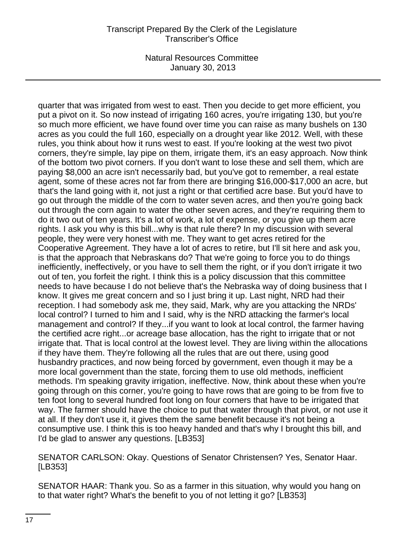quarter that was irrigated from west to east. Then you decide to get more efficient, you put a pivot on it. So now instead of irrigating 160 acres, you're irrigating 130, but you're so much more efficient, we have found over time you can raise as many bushels on 130 acres as you could the full 160, especially on a drought year like 2012. Well, with these rules, you think about how it runs west to east. If you're looking at the west two pivot corners, they're simple, lay pipe on them, irrigate them, it's an easy approach. Now think of the bottom two pivot corners. If you don't want to lose these and sell them, which are paying \$8,000 an acre isn't necessarily bad, but you've got to remember, a real estate agent, some of these acres not far from there are bringing \$16,000-\$17,000 an acre, but that's the land going with it, not just a right or that certified acre base. But you'd have to go out through the middle of the corn to water seven acres, and then you're going back out through the corn again to water the other seven acres, and they're requiring them to do it two out of ten years. It's a lot of work, a lot of expense, or you give up them acre rights. I ask you why is this bill...why is that rule there? In my discussion with several people, they were very honest with me. They want to get acres retired for the Cooperative Agreement. They have a lot of acres to retire, but I'll sit here and ask you, is that the approach that Nebraskans do? That we're going to force you to do things inefficiently, ineffectively, or you have to sell them the right, or if you don't irrigate it two out of ten, you forfeit the right. I think this is a policy discussion that this committee needs to have because I do not believe that's the Nebraska way of doing business that I know. It gives me great concern and so I just bring it up. Last night, NRD had their reception. I had somebody ask me, they said, Mark, why are you attacking the NRDs' local control? I turned to him and I said, why is the NRD attacking the farmer's local management and control? If they...if you want to look at local control, the farmer having the certified acre right...or acreage base allocation, has the right to irrigate that or not irrigate that. That is local control at the lowest level. They are living within the allocations if they have them. They're following all the rules that are out there, using good husbandry practices, and now being forced by government, even though it may be a more local government than the state, forcing them to use old methods, inefficient methods. I'm speaking gravity irrigation, ineffective. Now, think about these when you're going through on this corner, you're going to have rows that are going to be from five to ten foot long to several hundred foot long on four corners that have to be irrigated that way. The farmer should have the choice to put that water through that pivot, or not use it at all. If they don't use it, it gives them the same benefit because it's not being a consumptive use. I think this is too heavy handed and that's why I brought this bill, and I'd be glad to answer any questions. [LB353]

SENATOR CARLSON: Okay. Questions of Senator Christensen? Yes, Senator Haar. [LB353]

SENATOR HAAR: Thank you. So as a farmer in this situation, why would you hang on to that water right? What's the benefit to you of not letting it go? [LB353]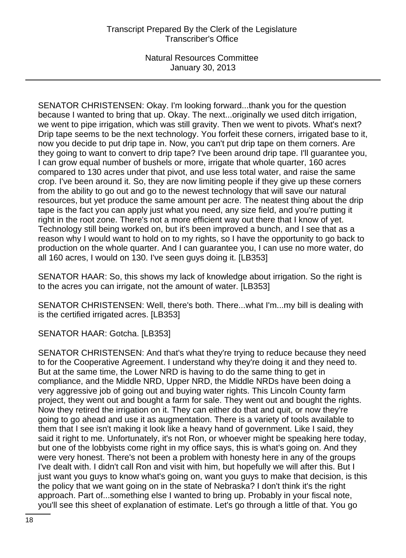SENATOR CHRISTENSEN: Okay. I'm looking forward...thank you for the question because I wanted to bring that up. Okay. The next...originally we used ditch irrigation, we went to pipe irrigation, which was still gravity. Then we went to pivots. What's next? Drip tape seems to be the next technology. You forfeit these corners, irrigated base to it, now you decide to put drip tape in. Now, you can't put drip tape on them corners. Are they going to want to convert to drip tape? I've been around drip tape. I'll guarantee you, I can grow equal number of bushels or more, irrigate that whole quarter, 160 acres compared to 130 acres under that pivot, and use less total water, and raise the same crop. I've been around it. So, they are now limiting people if they give up these corners from the ability to go out and go to the newest technology that will save our natural resources, but yet produce the same amount per acre. The neatest thing about the drip tape is the fact you can apply just what you need, any size field, and you're putting it right in the root zone. There's not a more efficient way out there that I know of yet. Technology still being worked on, but it's been improved a bunch, and I see that as a reason why I would want to hold on to my rights, so I have the opportunity to go back to production on the whole quarter. And I can guarantee you, I can use no more water, do all 160 acres, I would on 130. I've seen guys doing it. [LB353]

SENATOR HAAR: So, this shows my lack of knowledge about irrigation. So the right is to the acres you can irrigate, not the amount of water. [LB353]

SENATOR CHRISTENSEN: Well, there's both. There...what I'm...my bill is dealing with is the certified irrigated acres. [LB353]

SENATOR HAAR: Gotcha. [LB353]

SENATOR CHRISTENSEN: And that's what they're trying to reduce because they need to for the Cooperative Agreement. I understand why they're doing it and they need to. But at the same time, the Lower NRD is having to do the same thing to get in compliance, and the Middle NRD, Upper NRD, the Middle NRDs have been doing a very aggressive job of going out and buying water rights. This Lincoln County farm project, they went out and bought a farm for sale. They went out and bought the rights. Now they retired the irrigation on it. They can either do that and quit, or now they're going to go ahead and use it as augmentation. There is a variety of tools available to them that I see isn't making it look like a heavy hand of government. Like I said, they said it right to me. Unfortunately, it's not Ron, or whoever might be speaking here today, but one of the lobbyists come right in my office says, this is what's going on. And they were very honest. There's not been a problem with honesty here in any of the groups I've dealt with. I didn't call Ron and visit with him, but hopefully we will after this. But I just want you guys to know what's going on, want you guys to make that decision, is this the policy that we want going on in the state of Nebraska? I don't think it's the right approach. Part of...something else I wanted to bring up. Probably in your fiscal note, you'll see this sheet of explanation of estimate. Let's go through a little of that. You go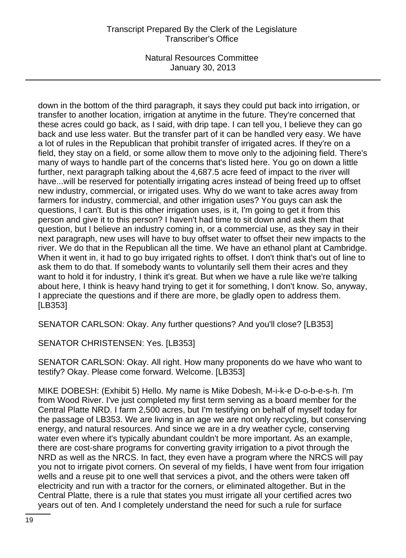# Transcript Prepared By the Clerk of the Legislature Transcriber's Office

Natural Resources Committee January 30, 2013

down in the bottom of the third paragraph, it says they could put back into irrigation, or transfer to another location, irrigation at anytime in the future. They're concerned that these acres could go back, as I said, with drip tape. I can tell you, I believe they can go back and use less water. But the transfer part of it can be handled very easy. We have a lot of rules in the Republican that prohibit transfer of irrigated acres. If they're on a field, they stay on a field, or some allow them to move only to the adjoining field. There's many of ways to handle part of the concerns that's listed here. You go on down a little further, next paragraph talking about the 4,687.5 acre feed of impact to the river will have...will be reserved for potentially irrigating acres instead of being freed up to offset new industry, commercial, or irrigated uses. Why do we want to take acres away from farmers for industry, commercial, and other irrigation uses? You guys can ask the questions, I can't. But is this other irrigation uses, is it, I'm going to get it from this person and give it to this person? I haven't had time to sit down and ask them that question, but I believe an industry coming in, or a commercial use, as they say in their next paragraph, new uses will have to buy offset water to offset their new impacts to the river. We do that in the Republican all the time. We have an ethanol plant at Cambridge. When it went in, it had to go buy irrigated rights to offset. I don't think that's out of line to ask them to do that. If somebody wants to voluntarily sell them their acres and they want to hold it for industry, I think it's great. But when we have a rule like we're talking about here, I think is heavy hand trying to get it for something, I don't know. So, anyway, I appreciate the questions and if there are more, be gladly open to address them. [LB353]

SENATOR CARLSON: Okay. Any further questions? And you'll close? [LB353]

SENATOR CHRISTENSEN: Yes. [LB353]

SENATOR CARLSON: Okay. All right. How many proponents do we have who want to testify? Okay. Please come forward. Welcome. [LB353]

MIKE DOBESH: (Exhibit 5) Hello. My name is Mike Dobesh, M-i-k-e D-o-b-e-s-h. I'm from Wood River. I've just completed my first term serving as a board member for the Central Platte NRD. I farm 2,500 acres, but I'm testifying on behalf of myself today for the passage of LB353. We are living in an age we are not only recycling, but conserving energy, and natural resources. And since we are in a dry weather cycle, conserving water even where it's typically abundant couldn't be more important. As an example, there are cost-share programs for converting gravity irrigation to a pivot through the NRD as well as the NRCS. In fact, they even have a program where the NRCS will pay you not to irrigate pivot corners. On several of my fields, I have went from four irrigation wells and a reuse pit to one well that services a pivot, and the others were taken off electricity and run with a tractor for the corners, or eliminated altogether. But in the Central Platte, there is a rule that states you must irrigate all your certified acres two years out of ten. And I completely understand the need for such a rule for surface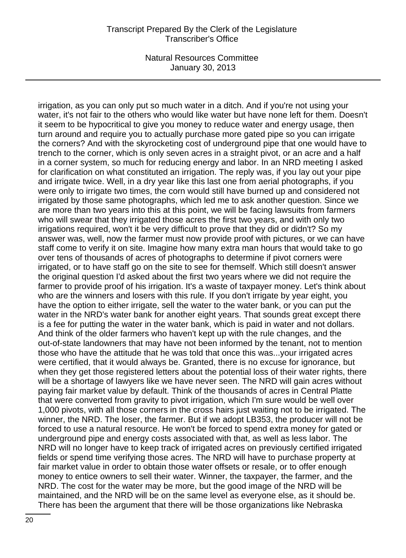#### Transcript Prepared By the Clerk of the Legislature Transcriber's Office

Natural Resources Committee January 30, 2013

irrigation, as you can only put so much water in a ditch. And if you're not using your water, it's not fair to the others who would like water but have none left for them. Doesn't it seem to be hypocritical to give you money to reduce water and energy usage, then turn around and require you to actually purchase more gated pipe so you can irrigate the corners? And with the skyrocketing cost of underground pipe that one would have to trench to the corner, which is only seven acres in a straight pivot, or an acre and a half in a corner system, so much for reducing energy and labor. In an NRD meeting I asked for clarification on what constituted an irrigation. The reply was, if you lay out your pipe and irrigate twice. Well, in a dry year like this last one from aerial photographs, if you were only to irrigate two times, the corn would still have burned up and considered not irrigated by those same photographs, which led me to ask another question. Since we are more than two years into this at this point, we will be facing lawsuits from farmers who will swear that they irrigated those acres the first two years, and with only two irrigations required, won't it be very difficult to prove that they did or didn't? So my answer was, well, now the farmer must now provide proof with pictures, or we can have staff come to verify it on site. Imagine how many extra man hours that would take to go over tens of thousands of acres of photographs to determine if pivot corners were irrigated, or to have staff go on the site to see for themself. Which still doesn't answer the original question I'd asked about the first two years where we did not require the farmer to provide proof of his irrigation. It's a waste of taxpayer money. Let's think about who are the winners and losers with this rule. If you don't irrigate by year eight, you have the option to either irrigate, sell the water to the water bank, or you can put the water in the NRD's water bank for another eight years. That sounds great except there is a fee for putting the water in the water bank, which is paid in water and not dollars. And think of the older farmers who haven't kept up with the rule changes, and the out-of-state landowners that may have not been informed by the tenant, not to mention those who have the attitude that he was told that once this was...your irrigated acres were certified, that it would always be. Granted, there is no excuse for ignorance, but when they get those registered letters about the potential loss of their water rights, there will be a shortage of lawyers like we have never seen. The NRD will gain acres without paying fair market value by default. Think of the thousands of acres in Central Platte that were converted from gravity to pivot irrigation, which I'm sure would be well over 1,000 pivots, with all those corners in the cross hairs just waiting not to be irrigated. The winner, the NRD. The loser, the farmer. But if we adopt LB353, the producer will not be forced to use a natural resource. He won't be forced to spend extra money for gated or underground pipe and energy costs associated with that, as well as less labor. The NRD will no longer have to keep track of irrigated acres on previously certified irrigated fields or spend time verifying those acres. The NRD will have to purchase property at fair market value in order to obtain those water offsets or resale, or to offer enough money to entice owners to sell their water. Winner, the taxpayer, the farmer, and the NRD. The cost for the water may be more, but the good image of the NRD will be maintained, and the NRD will be on the same level as everyone else, as it should be. There has been the argument that there will be those organizations like Nebraska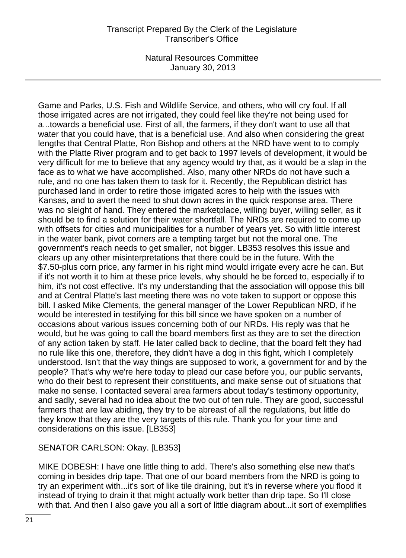Game and Parks, U.S. Fish and Wildlife Service, and others, who will cry foul. If all those irrigated acres are not irrigated, they could feel like they're not being used for a...towards a beneficial use. First of all, the farmers, if they don't want to use all that water that you could have, that is a beneficial use. And also when considering the great lengths that Central Platte, Ron Bishop and others at the NRD have went to to comply with the Platte River program and to get back to 1997 levels of development, it would be very difficult for me to believe that any agency would try that, as it would be a slap in the face as to what we have accomplished. Also, many other NRDs do not have such a rule, and no one has taken them to task for it. Recently, the Republican district has purchased land in order to retire those irrigated acres to help with the issues with Kansas, and to avert the need to shut down acres in the quick response area. There was no sleight of hand. They entered the marketplace, willing buyer, willing seller, as it should be to find a solution for their water shortfall. The NRDs are required to come up with offsets for cities and municipalities for a number of years yet. So with little interest in the water bank, pivot corners are a tempting target but not the moral one. The government's reach needs to get smaller, not bigger. LB353 resolves this issue and clears up any other misinterpretations that there could be in the future. With the \$7.50-plus corn price, any farmer in his right mind would irrigate every acre he can. But if it's not worth it to him at these price levels, why should he be forced to, especially if to him, it's not cost effective. It's my understanding that the association will oppose this bill and at Central Platte's last meeting there was no vote taken to support or oppose this bill. I asked Mike Clements, the general manager of the Lower Republican NRD, if he would be interested in testifying for this bill since we have spoken on a number of occasions about various issues concerning both of our NRDs. His reply was that he would, but he was going to call the board members first as they are to set the direction of any action taken by staff. He later called back to decline, that the board felt they had no rule like this one, therefore, they didn't have a dog in this fight, which I completely understood. Isn't that the way things are supposed to work, a government for and by the people? That's why we're here today to plead our case before you, our public servants, who do their best to represent their constituents, and make sense out of situations that make no sense. I contacted several area farmers about today's testimony opportunity, and sadly, several had no idea about the two out of ten rule. They are good, successful farmers that are law abiding, they try to be abreast of all the regulations, but little do they know that they are the very targets of this rule. Thank you for your time and considerations on this issue. [LB353]

SENATOR CARLSON: Okay. [LB353]

MIKE DOBESH: I have one little thing to add. There's also something else new that's coming in besides drip tape. That one of our board members from the NRD is going to try an experiment with...it's sort of like tile draining, but it's in reverse where you flood it instead of trying to drain it that might actually work better than drip tape. So I'll close with that. And then I also gave you all a sort of little diagram about...it sort of exemplifies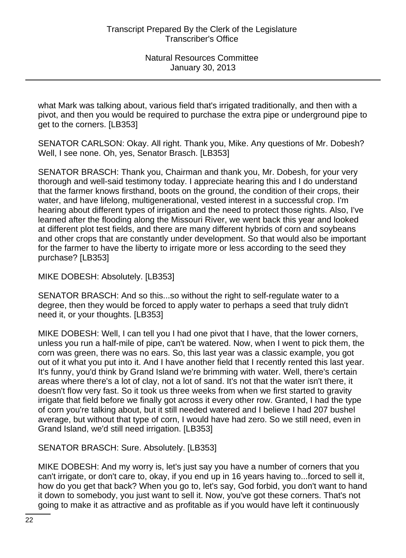what Mark was talking about, various field that's irrigated traditionally, and then with a pivot, and then you would be required to purchase the extra pipe or underground pipe to get to the corners. [LB353]

SENATOR CARLSON: Okay. All right. Thank you, Mike. Any questions of Mr. Dobesh? Well, I see none. Oh, yes, Senator Brasch. [LB353]

SENATOR BRASCH: Thank you, Chairman and thank you, Mr. Dobesh, for your very thorough and well-said testimony today. I appreciate hearing this and I do understand that the farmer knows firsthand, boots on the ground, the condition of their crops, their water, and have lifelong, multigenerational, vested interest in a successful crop. I'm hearing about different types of irrigation and the need to protect those rights. Also, I've learned after the flooding along the Missouri River, we went back this year and looked at different plot test fields, and there are many different hybrids of corn and soybeans and other crops that are constantly under development. So that would also be important for the farmer to have the liberty to irrigate more or less according to the seed they purchase? [LB353]

MIKE DOBESH: Absolutely. [LB353]

SENATOR BRASCH: And so this...so without the right to self-regulate water to a degree, then they would be forced to apply water to perhaps a seed that truly didn't need it, or your thoughts. [LB353]

MIKE DOBESH: Well, I can tell you I had one pivot that I have, that the lower corners, unless you run a half-mile of pipe, can't be watered. Now, when I went to pick them, the corn was green, there was no ears. So, this last year was a classic example, you got out of it what you put into it. And I have another field that I recently rented this last year. It's funny, you'd think by Grand Island we're brimming with water. Well, there's certain areas where there's a lot of clay, not a lot of sand. It's not that the water isn't there, it doesn't flow very fast. So it took us three weeks from when we first started to gravity irrigate that field before we finally got across it every other row. Granted, I had the type of corn you're talking about, but it still needed watered and I believe I had 207 bushel average, but without that type of corn, I would have had zero. So we still need, even in Grand Island, we'd still need irrigation. [LB353]

SENATOR BRASCH: Sure. Absolutely. [LB353]

MIKE DOBESH: And my worry is, let's just say you have a number of corners that you can't irrigate, or don't care to, okay, if you end up in 16 years having to...forced to sell it, how do you get that back? When you go to, let's say, God forbid, you don't want to hand it down to somebody, you just want to sell it. Now, you've got these corners. That's not going to make it as attractive and as profitable as if you would have left it continuously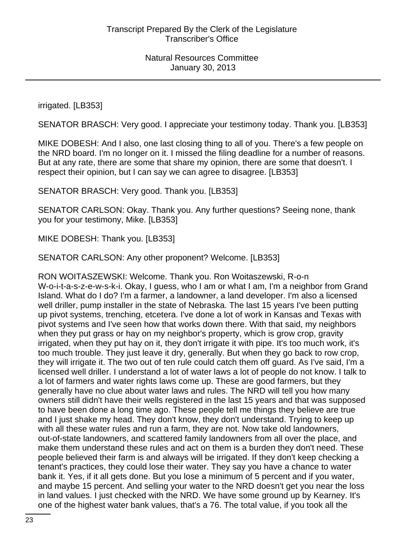irrigated. [LB353]

SENATOR BRASCH: Very good. I appreciate your testimony today. Thank you. [LB353]

MIKE DOBESH: And I also, one last closing thing to all of you. There's a few people on the NRD board. I'm no longer on it. I missed the filing deadline for a number of reasons. But at any rate, there are some that share my opinion, there are some that doesn't. I respect their opinion, but I can say we can agree to disagree. [LB353]

SENATOR BRASCH: Very good. Thank you. [LB353]

SENATOR CARLSON: Okay. Thank you. Any further questions? Seeing none, thank you for your testimony, Mike. [LB353]

MIKE DOBESH: Thank you. [LB353]

SENATOR CARLSON: Any other proponent? Welcome. [LB353]

RON WOITASZEWSKI: Welcome. Thank you. Ron Woitaszewski, R-o-n W-o-i-t-a-s-z-e-w-s-k-i. Okay, I guess, who I am or what I am, I'm a neighbor from Grand Island. What do I do? I'm a farmer, a landowner, a land developer. I'm also a licensed well driller, pump installer in the state of Nebraska. The last 15 years I've been putting up pivot systems, trenching, etcetera. I've done a lot of work in Kansas and Texas with pivot systems and I've seen how that works down there. With that said, my neighbors when they put grass or hay on my neighbor's property, which is grow crop, gravity irrigated, when they put hay on it, they don't irrigate it with pipe. It's too much work, it's too much trouble. They just leave it dry, generally. But when they go back to row crop, they will irrigate it. The two out of ten rule could catch them off guard. As I've said, I'm a licensed well driller. I understand a lot of water laws a lot of people do not know. I talk to a lot of farmers and water rights laws come up. These are good farmers, but they generally have no clue about water laws and rules. The NRD will tell you how many owners still didn't have their wells registered in the last 15 years and that was supposed to have been done a long time ago. These people tell me things they believe are true and I just shake my head. They don't know, they don't understand. Trying to keep up with all these water rules and run a farm, they are not. Now take old landowners, out-of-state landowners, and scattered family landowners from all over the place, and make them understand these rules and act on them is a burden they don't need. These people believed their farm is and always will be irrigated. If they don't keep checking a tenant's practices, they could lose their water. They say you have a chance to water bank it. Yes, if it all gets done. But you lose a minimum of 5 percent and if you water, and maybe 15 percent. And selling your water to the NRD doesn't get you near the loss in land values. I just checked with the NRD. We have some ground up by Kearney. It's one of the highest water bank values, that's a 76. The total value, if you took all the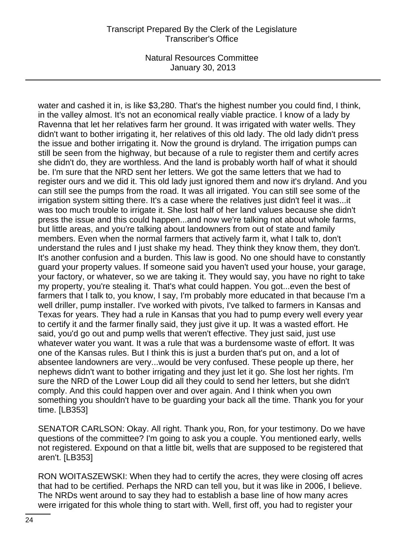water and cashed it in, is like \$3,280. That's the highest number you could find, I think, in the valley almost. It's not an economical really viable practice. I know of a lady by Ravenna that let her relatives farm her ground. It was irrigated with water wells. They didn't want to bother irrigating it, her relatives of this old lady. The old lady didn't press the issue and bother irrigating it. Now the ground is dryland. The irrigation pumps can still be seen from the highway, but because of a rule to register them and certify acres she didn't do, they are worthless. And the land is probably worth half of what it should be. I'm sure that the NRD sent her letters. We got the same letters that we had to register ours and we did it. This old lady just ignored them and now it's dryland. And you can still see the pumps from the road. It was all irrigated. You can still see some of the irrigation system sitting there. It's a case where the relatives just didn't feel it was...it was too much trouble to irrigate it. She lost half of her land values because she didn't press the issue and this could happen...and now we're talking not about whole farms, but little areas, and you're talking about landowners from out of state and family members. Even when the normal farmers that actively farm it, what I talk to, don't understand the rules and I just shake my head. They think they know them, they don't. It's another confusion and a burden. This law is good. No one should have to constantly guard your property values. If someone said you haven't used your house, your garage, your factory, or whatever, so we are taking it. They would say, you have no right to take my property, you're stealing it. That's what could happen. You got...even the best of farmers that I talk to, you know, I say, I'm probably more educated in that because I'm a well driller, pump installer. I've worked with pivots, I've talked to farmers in Kansas and Texas for years. They had a rule in Kansas that you had to pump every well every year to certify it and the farmer finally said, they just give it up. It was a wasted effort. He said, you'd go out and pump wells that weren't effective. They just said, just use whatever water you want. It was a rule that was a burdensome waste of effort. It was one of the Kansas rules. But I think this is just a burden that's put on, and a lot of absentee landowners are very...would be very confused. These people up there, her nephews didn't want to bother irrigating and they just let it go. She lost her rights. I'm sure the NRD of the Lower Loup did all they could to send her letters, but she didn't comply. And this could happen over and over again. And I think when you own something you shouldn't have to be guarding your back all the time. Thank you for your time. [LB353]

SENATOR CARLSON: Okay. All right. Thank you, Ron, for your testimony. Do we have questions of the committee? I'm going to ask you a couple. You mentioned early, wells not registered. Expound on that a little bit, wells that are supposed to be registered that aren't. [LB353]

RON WOITASZEWSKI: When they had to certify the acres, they were closing off acres that had to be certified. Perhaps the NRD can tell you, but it was like in 2006, I believe. The NRDs went around to say they had to establish a base line of how many acres were irrigated for this whole thing to start with. Well, first off, you had to register your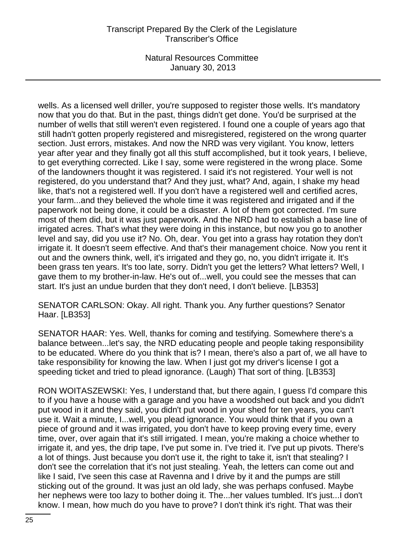# Transcript Prepared By the Clerk of the Legislature Transcriber's Office

Natural Resources Committee January 30, 2013

wells. As a licensed well driller, you're supposed to register those wells. It's mandatory now that you do that. But in the past, things didn't get done. You'd be surprised at the number of wells that still weren't even registered. I found one a couple of years ago that still hadn't gotten properly registered and misregistered, registered on the wrong quarter section. Just errors, mistakes. And now the NRD was very vigilant. You know, letters year after year and they finally got all this stuff accomplished, but it took years, I believe, to get everything corrected. Like I say, some were registered in the wrong place. Some of the landowners thought it was registered. I said it's not registered. Your well is not registered, do you understand that? And they just, what? And, again, I shake my head like, that's not a registered well. If you don't have a registered well and certified acres, your farm...and they believed the whole time it was registered and irrigated and if the paperwork not being done, it could be a disaster. A lot of them got corrected. I'm sure most of them did, but it was just paperwork. And the NRD had to establish a base line of irrigated acres. That's what they were doing in this instance, but now you go to another level and say, did you use it? No. Oh, dear. You get into a grass hay rotation they don't irrigate it. It doesn't seem effective. And that's their management choice. Now you rent it out and the owners think, well, it's irrigated and they go, no, you didn't irrigate it. It's been grass ten years. It's too late, sorry. Didn't you get the letters? What letters? Well, I gave them to my brother-in-law. He's out of...well, you could see the messes that can start. It's just an undue burden that they don't need, I don't believe. [LB353]

SENATOR CARLSON: Okay. All right. Thank you. Any further questions? Senator Haar. [LB353]

SENATOR HAAR: Yes. Well, thanks for coming and testifying. Somewhere there's a balance between...let's say, the NRD educating people and people taking responsibility to be educated. Where do you think that is? I mean, there's also a part of, we all have to take responsibility for knowing the law. When I just got my driver's license I got a speeding ticket and tried to plead ignorance. (Laugh) That sort of thing. [LB353]

RON WOITASZEWSKI: Yes, I understand that, but there again, I guess I'd compare this to if you have a house with a garage and you have a woodshed out back and you didn't put wood in it and they said, you didn't put wood in your shed for ten years, you can't use it. Wait a minute, I...well, you plead ignorance. You would think that if you own a piece of ground and it was irrigated, you don't have to keep proving every time, every time, over, over again that it's still irrigated. I mean, you're making a choice whether to irrigate it, and yes, the drip tape, I've put some in. I've tried it. I've put up pivots. There's a lot of things. Just because you don't use it, the right to take it, isn't that stealing? I don't see the correlation that it's not just stealing. Yeah, the letters can come out and like I said, I've seen this case at Ravenna and I drive by it and the pumps are still sticking out of the ground. It was just an old lady, she was perhaps confused. Maybe her nephews were too lazy to bother doing it. The...her values tumbled. It's just...I don't know. I mean, how much do you have to prove? I don't think it's right. That was their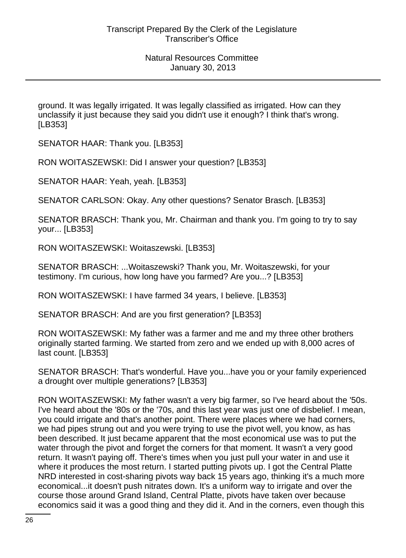ground. It was legally irrigated. It was legally classified as irrigated. How can they unclassify it just because they said you didn't use it enough? I think that's wrong. [LB353]

SENATOR HAAR: Thank you. [LB353]

RON WOITASZEWSKI: Did I answer your question? [LB353]

SENATOR HAAR: Yeah, yeah. [LB353]

SENATOR CARLSON: Okay. Any other questions? Senator Brasch. [LB353]

SENATOR BRASCH: Thank you, Mr. Chairman and thank you. I'm going to try to say your... [LB353]

RON WOITASZEWSKI: Woitaszewski. [LB353]

SENATOR BRASCH: ...Woitaszewski? Thank you, Mr. Woitaszewski, for your testimony. I'm curious, how long have you farmed? Are you...? [LB353]

RON WOITASZEWSKI: I have farmed 34 years, I believe. [LB353]

SENATOR BRASCH: And are you first generation? [LB353]

RON WOITASZEWSKI: My father was a farmer and me and my three other brothers originally started farming. We started from zero and we ended up with 8,000 acres of last count. [LB353]

SENATOR BRASCH: That's wonderful. Have you...have you or your family experienced a drought over multiple generations? [LB353]

RON WOITASZEWSKI: My father wasn't a very big farmer, so I've heard about the '50s. I've heard about the '80s or the '70s, and this last year was just one of disbelief. I mean, you could irrigate and that's another point. There were places where we had corners, we had pipes strung out and you were trying to use the pivot well, you know, as has been described. It just became apparent that the most economical use was to put the water through the pivot and forget the corners for that moment. It wasn't a very good return. It wasn't paying off. There's times when you just pull your water in and use it where it produces the most return. I started putting pivots up. I got the Central Platte NRD interested in cost-sharing pivots way back 15 years ago, thinking it's a much more economical...it doesn't push nitrates down. It's a uniform way to irrigate and over the course those around Grand Island, Central Platte, pivots have taken over because economics said it was a good thing and they did it. And in the corners, even though this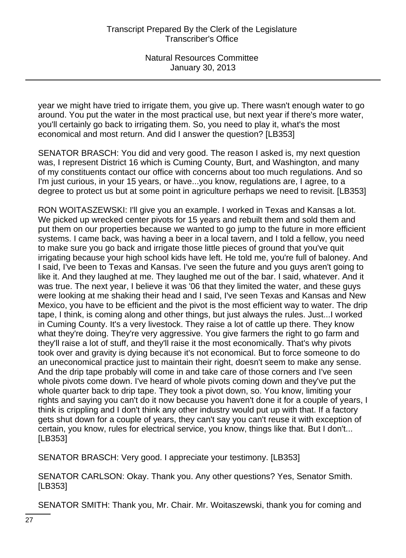year we might have tried to irrigate them, you give up. There wasn't enough water to go around. You put the water in the most practical use, but next year if there's more water, you'll certainly go back to irrigating them. So, you need to play it, what's the most economical and most return. And did I answer the question? [LB353]

SENATOR BRASCH: You did and very good. The reason I asked is, my next question was, I represent District 16 which is Cuming County, Burt, and Washington, and many of my constituents contact our office with concerns about too much regulations. And so I'm just curious, in your 15 years, or have...you know, regulations are, I agree, to a degree to protect us but at some point in agriculture perhaps we need to revisit. [LB353]

RON WOITASZEWSKI: I'll give you an example. I worked in Texas and Kansas a lot. We picked up wrecked center pivots for 15 years and rebuilt them and sold them and put them on our properties because we wanted to go jump to the future in more efficient systems. I came back, was having a beer in a local tavern, and I told a fellow, you need to make sure you go back and irrigate those little pieces of ground that you've quit irrigating because your high school kids have left. He told me, you're full of baloney. And I said, I've been to Texas and Kansas. I've seen the future and you guys aren't going to like it. And they laughed at me. They laughed me out of the bar. I said, whatever. And it was true. The next year, I believe it was '06 that they limited the water, and these guys were looking at me shaking their head and I said, I've seen Texas and Kansas and New Mexico, you have to be efficient and the pivot is the most efficient way to water. The drip tape, I think, is coming along and other things, but just always the rules. Just...I worked in Cuming County. It's a very livestock. They raise a lot of cattle up there. They know what they're doing. They're very aggressive. You give farmers the right to go farm and they'll raise a lot of stuff, and they'll raise it the most economically. That's why pivots took over and gravity is dying because it's not economical. But to force someone to do an uneconomical practice just to maintain their right, doesn't seem to make any sense. And the drip tape probably will come in and take care of those corners and I've seen whole pivots come down. I've heard of whole pivots coming down and they've put the whole quarter back to drip tape. They took a pivot down, so. You know, limiting your rights and saying you can't do it now because you haven't done it for a couple of years, I think is crippling and I don't think any other industry would put up with that. If a factory gets shut down for a couple of years, they can't say you can't reuse it with exception of certain, you know, rules for electrical service, you know, things like that. But I don't... [LB353]

SENATOR BRASCH: Very good. I appreciate your testimony. [LB353]

SENATOR CARLSON: Okay. Thank you. Any other questions? Yes, Senator Smith. [LB353]

SENATOR SMITH: Thank you, Mr. Chair. Mr. Woitaszewski, thank you for coming and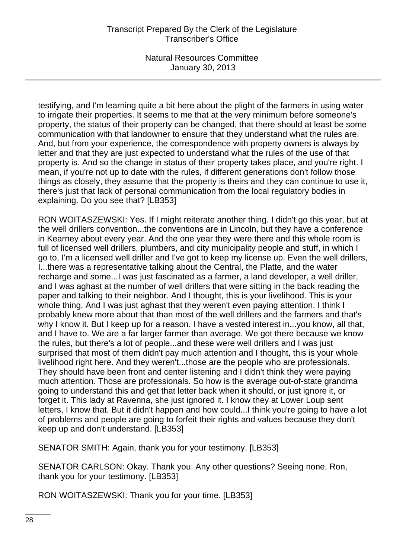testifying, and I'm learning quite a bit here about the plight of the farmers in using water to irrigate their properties. It seems to me that at the very minimum before someone's property, the status of their property can be changed, that there should at least be some communication with that landowner to ensure that they understand what the rules are. And, but from your experience, the correspondence with property owners is always by letter and that they are just expected to understand what the rules of the use of that property is. And so the change in status of their property takes place, and you're right. I mean, if you're not up to date with the rules, if different generations don't follow those things as closely, they assume that the property is theirs and they can continue to use it, there's just that lack of personal communication from the local regulatory bodies in explaining. Do you see that? [LB353]

RON WOITASZEWSKI: Yes. If I might reiterate another thing. I didn't go this year, but at the well drillers convention...the conventions are in Lincoln, but they have a conference in Kearney about every year. And the one year they were there and this whole room is full of licensed well drillers, plumbers, and city municipality people and stuff, in which I go to, I'm a licensed well driller and I've got to keep my license up. Even the well drillers, I...there was a representative talking about the Central, the Platte, and the water recharge and some...I was just fascinated as a farmer, a land developer, a well driller, and I was aghast at the number of well drillers that were sitting in the back reading the paper and talking to their neighbor. And I thought, this is your livelihood. This is your whole thing. And I was just aghast that they weren't even paying attention. I think I probably knew more about that than most of the well drillers and the farmers and that's why I know it. But I keep up for a reason. I have a vested interest in...you know, all that, and I have to. We are a far larger farmer than average. We got there because we know the rules, but there's a lot of people...and these were well drillers and I was just surprised that most of them didn't pay much attention and I thought, this is your whole livelihood right here. And they weren't...those are the people who are professionals. They should have been front and center listening and I didn't think they were paying much attention. Those are professionals. So how is the average out-of-state grandma going to understand this and get that letter back when it should, or just ignore it, or forget it. This lady at Ravenna, she just ignored it. I know they at Lower Loup sent letters, I know that. But it didn't happen and how could...I think you're going to have a lot of problems and people are going to forfeit their rights and values because they don't keep up and don't understand. [LB353]

SENATOR SMITH: Again, thank you for your testimony. [LB353]

SENATOR CARLSON: Okay. Thank you. Any other questions? Seeing none, Ron, thank you for your testimony. [LB353]

RON WOITASZEWSKI: Thank you for your time. [LB353]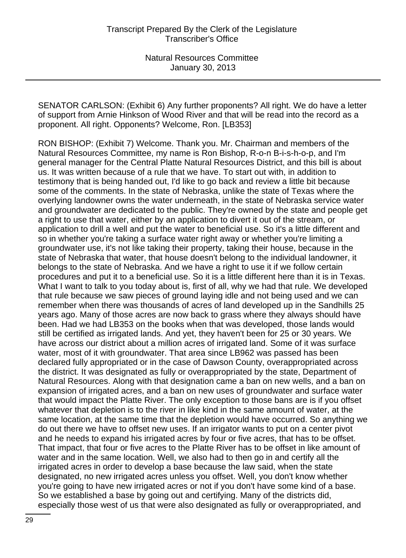SENATOR CARLSON: (Exhibit 6) Any further proponents? All right. We do have a letter of support from Arnie Hinkson of Wood River and that will be read into the record as a proponent. All right. Opponents? Welcome, Ron. [LB353]

RON BISHOP: (Exhibit 7) Welcome. Thank you. Mr. Chairman and members of the Natural Resources Committee, my name is Ron Bishop, R-o-n B-i-s-h-o-p, and I'm general manager for the Central Platte Natural Resources District, and this bill is about us. It was written because of a rule that we have. To start out with, in addition to testimony that is being handed out, I'd like to go back and review a little bit because some of the comments. In the state of Nebraska, unlike the state of Texas where the overlying landowner owns the water underneath, in the state of Nebraska service water and groundwater are dedicated to the public. They're owned by the state and people get a right to use that water, either by an application to divert it out of the stream, or application to drill a well and put the water to beneficial use. So it's a little different and so in whether you're taking a surface water right away or whether you're limiting a groundwater use, it's not like taking their property, taking their house, because in the state of Nebraska that water, that house doesn't belong to the individual landowner, it belongs to the state of Nebraska. And we have a right to use it if we follow certain procedures and put it to a beneficial use. So it is a little different here than it is in Texas. What I want to talk to you today about is, first of all, why we had that rule. We developed that rule because we saw pieces of ground laying idle and not being used and we can remember when there was thousands of acres of land developed up in the Sandhills 25 years ago. Many of those acres are now back to grass where they always should have been. Had we had LB353 on the books when that was developed, those lands would still be certified as irrigated lands. And yet, they haven't been for 25 or 30 years. We have across our district about a million acres of irrigated land. Some of it was surface water, most of it with groundwater. That area since LB962 was passed has been declared fully appropriated or in the case of Dawson County, overappropriated across the district. It was designated as fully or overappropriated by the state, Department of Natural Resources. Along with that designation came a ban on new wells, and a ban on expansion of irrigated acres, and a ban on new uses of groundwater and surface water that would impact the Platte River. The only exception to those bans are is if you offset whatever that depletion is to the river in like kind in the same amount of water, at the same location, at the same time that the depletion would have occurred. So anything we do out there we have to offset new uses. If an irrigator wants to put on a center pivot and he needs to expand his irrigated acres by four or five acres, that has to be offset. That impact, that four or five acres to the Platte River has to be offset in like amount of water and in the same location. Well, we also had to then go in and certify all the irrigated acres in order to develop a base because the law said, when the state designated, no new irrigated acres unless you offset. Well, you don't know whether you're going to have new irrigated acres or not if you don't have some kind of a base. So we established a base by going out and certifying. Many of the districts did, especially those west of us that were also designated as fully or overappropriated, and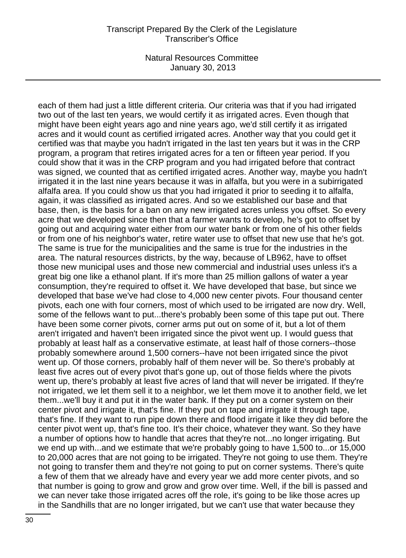each of them had just a little different criteria. Our criteria was that if you had irrigated two out of the last ten years, we would certify it as irrigated acres. Even though that might have been eight years ago and nine years ago, we'd still certify it as irrigated acres and it would count as certified irrigated acres. Another way that you could get it certified was that maybe you hadn't irrigated in the last ten years but it was in the CRP program, a program that retires irrigated acres for a ten or fifteen year period. If you could show that it was in the CRP program and you had irrigated before that contract was signed, we counted that as certified irrigated acres. Another way, maybe you hadn't irrigated it in the last nine years because it was in alfalfa, but you were in a subirrigated alfalfa area. If you could show us that you had irrigated it prior to seeding it to alfalfa, again, it was classified as irrigated acres. And so we established our base and that base, then, is the basis for a ban on any new irrigated acres unless you offset. So every acre that we developed since then that a farmer wants to develop, he's got to offset by going out and acquiring water either from our water bank or from one of his other fields or from one of his neighbor's water, retire water use to offset that new use that he's got. The same is true for the municipalities and the same is true for the industries in the area. The natural resources districts, by the way, because of LB962, have to offset those new municipal uses and those new commercial and industrial uses unless it's a great big one like a ethanol plant. If it's more than 25 million gallons of water a year consumption, they're required to offset it. We have developed that base, but since we developed that base we've had close to 4,000 new center pivots. Four thousand center pivots, each one with four corners, most of which used to be irrigated are now dry. Well, some of the fellows want to put...there's probably been some of this tape put out. There have been some corner pivots, corner arms put out on some of it, but a lot of them aren't irrigated and haven't been irrigated since the pivot went up. I would guess that probably at least half as a conservative estimate, at least half of those corners--those probably somewhere around 1,500 corners--have not been irrigated since the pivot went up. Of those corners, probably half of them never will be. So there's probably at least five acres out of every pivot that's gone up, out of those fields where the pivots went up, there's probably at least five acres of land that will never be irrigated. If they're not irrigated, we let them sell it to a neighbor, we let them move it to another field, we let them...we'll buy it and put it in the water bank. If they put on a corner system on their center pivot and irrigate it, that's fine. If they put on tape and irrigate it through tape, that's fine. If they want to run pipe down there and flood irrigate it like they did before the center pivot went up, that's fine too. It's their choice, whatever they want. So they have a number of options how to handle that acres that they're not...no longer irrigating. But we end up with...and we estimate that we're probably going to have 1,500 to...or 15,000 to 20,000 acres that are not going to be irrigated. They're not going to use them. They're not going to transfer them and they're not going to put on corner systems. There's quite a few of them that we already have and every year we add more center pivots, and so that number is going to grow and grow and grow over time. Well, if the bill is passed and we can never take those irrigated acres off the role, it's going to be like those acres up in the Sandhills that are no longer irrigated, but we can't use that water because they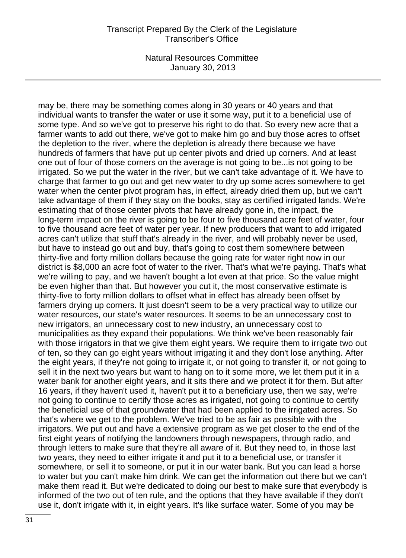### Transcript Prepared By the Clerk of the Legislature Transcriber's Office

Natural Resources Committee January 30, 2013

may be, there may be something comes along in 30 years or 40 years and that individual wants to transfer the water or use it some way, put it to a beneficial use of some type. And so we've got to preserve his right to do that. So every new acre that a farmer wants to add out there, we've got to make him go and buy those acres to offset the depletion to the river, where the depletion is already there because we have hundreds of farmers that have put up center pivots and dried up corners. And at least one out of four of those corners on the average is not going to be...is not going to be irrigated. So we put the water in the river, but we can't take advantage of it. We have to charge that farmer to go out and get new water to dry up some acres somewhere to get water when the center pivot program has, in effect, already dried them up, but we can't take advantage of them if they stay on the books, stay as certified irrigated lands. We're estimating that of those center pivots that have already gone in, the impact, the long-term impact on the river is going to be four to five thousand acre feet of water, four to five thousand acre feet of water per year. If new producers that want to add irrigated acres can't utilize that stuff that's already in the river, and will probably never be used, but have to instead go out and buy, that's going to cost them somewhere between thirty-five and forty million dollars because the going rate for water right now in our district is \$8,000 an acre foot of water to the river. That's what we're paying. That's what we're willing to pay, and we haven't bought a lot even at that price. So the value might be even higher than that. But however you cut it, the most conservative estimate is thirty-five to forty million dollars to offset what in effect has already been offset by farmers drying up corners. It just doesn't seem to be a very practical way to utilize our water resources, our state's water resources. It seems to be an unnecessary cost to new irrigators, an unnecessary cost to new industry, an unnecessary cost to municipalities as they expand their populations. We think we've been reasonably fair with those irrigators in that we give them eight years. We require them to irrigate two out of ten, so they can go eight years without irrigating it and they don't lose anything. After the eight years, if they're not going to irrigate it, or not going to transfer it, or not going to sell it in the next two years but want to hang on to it some more, we let them put it in a water bank for another eight years, and it sits there and we protect it for them. But after 16 years, if they haven't used it, haven't put it to a beneficiary use, then we say, we're not going to continue to certify those acres as irrigated, not going to continue to certify the beneficial use of that groundwater that had been applied to the irrigated acres. So that's where we get to the problem. We've tried to be as fair as possible with the irrigators. We put out and have a extensive program as we get closer to the end of the first eight years of notifying the landowners through newspapers, through radio, and through letters to make sure that they're all aware of it. But they need to, in those last two years, they need to either irrigate it and put it to a beneficial use, or transfer it somewhere, or sell it to someone, or put it in our water bank. But you can lead a horse to water but you can't make him drink. We can get the information out there but we can't make them read it. But we're dedicated to doing our best to make sure that everybody is informed of the two out of ten rule, and the options that they have available if they don't use it, don't irrigate with it, in eight years. It's like surface water. Some of you may be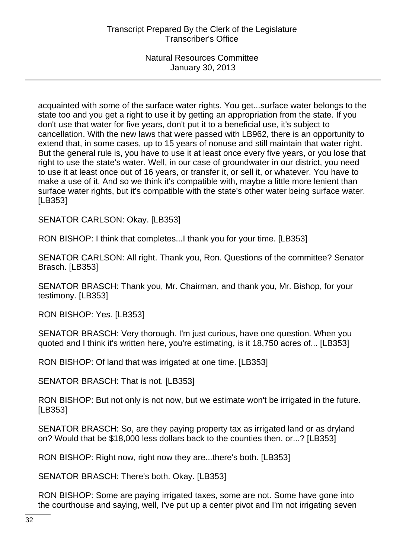acquainted with some of the surface water rights. You get...surface water belongs to the state too and you get a right to use it by getting an appropriation from the state. If you don't use that water for five years, don't put it to a beneficial use, it's subject to cancellation. With the new laws that were passed with LB962, there is an opportunity to extend that, in some cases, up to 15 years of nonuse and still maintain that water right. But the general rule is, you have to use it at least once every five years, or you lose that right to use the state's water. Well, in our case of groundwater in our district, you need to use it at least once out of 16 years, or transfer it, or sell it, or whatever. You have to make a use of it. And so we think it's compatible with, maybe a little more lenient than surface water rights, but it's compatible with the state's other water being surface water. [LB353]

SENATOR CARLSON: Okay. [LB353]

RON BISHOP: I think that completes...I thank you for your time. [LB353]

SENATOR CARLSON: All right. Thank you, Ron. Questions of the committee? Senator Brasch. [LB353]

SENATOR BRASCH: Thank you, Mr. Chairman, and thank you, Mr. Bishop, for your testimony. [LB353]

RON BISHOP: Yes. [LB353]

SENATOR BRASCH: Very thorough. I'm just curious, have one question. When you quoted and I think it's written here, you're estimating, is it 18,750 acres of... [LB353]

RON BISHOP: Of land that was irrigated at one time. [LB353]

SENATOR BRASCH: That is not. [LB353]

RON BISHOP: But not only is not now, but we estimate won't be irrigated in the future. [LB353]

SENATOR BRASCH: So, are they paying property tax as irrigated land or as dryland on? Would that be \$18,000 less dollars back to the counties then, or...? [LB353]

RON BISHOP: Right now, right now they are...there's both. [LB353]

SENATOR BRASCH: There's both. Okay. [LB353]

RON BISHOP: Some are paying irrigated taxes, some are not. Some have gone into the courthouse and saying, well, I've put up a center pivot and I'm not irrigating seven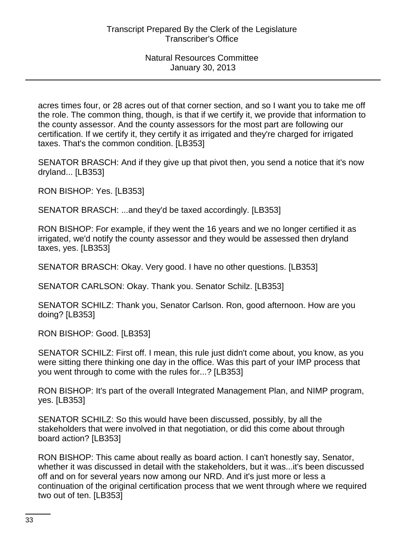acres times four, or 28 acres out of that corner section, and so I want you to take me off the role. The common thing, though, is that if we certify it, we provide that information to the county assessor. And the county assessors for the most part are following our certification. If we certify it, they certify it as irrigated and they're charged for irrigated taxes. That's the common condition. [LB353]

SENATOR BRASCH: And if they give up that pivot then, you send a notice that it's now dryland... [LB353]

RON BISHOP: Yes. [LB353]

SENATOR BRASCH: ...and they'd be taxed accordingly. [LB353]

RON BISHOP: For example, if they went the 16 years and we no longer certified it as irrigated, we'd notify the county assessor and they would be assessed then dryland taxes, yes. [LB353]

SENATOR BRASCH: Okay. Very good. I have no other questions. [LB353]

SENATOR CARLSON: Okay. Thank you. Senator Schilz. [LB353]

SENATOR SCHILZ: Thank you, Senator Carlson. Ron, good afternoon. How are you doing? [LB353]

RON BISHOP: Good. [LB353]

SENATOR SCHILZ: First off. I mean, this rule just didn't come about, you know, as you were sitting there thinking one day in the office. Was this part of your IMP process that you went through to come with the rules for...? [LB353]

RON BISHOP: It's part of the overall Integrated Management Plan, and NIMP program, yes. [LB353]

SENATOR SCHILZ: So this would have been discussed, possibly, by all the stakeholders that were involved in that negotiation, or did this come about through board action? [LB353]

RON BISHOP: This came about really as board action. I can't honestly say, Senator, whether it was discussed in detail with the stakeholders, but it was...it's been discussed off and on for several years now among our NRD. And it's just more or less a continuation of the original certification process that we went through where we required two out of ten. [LB353]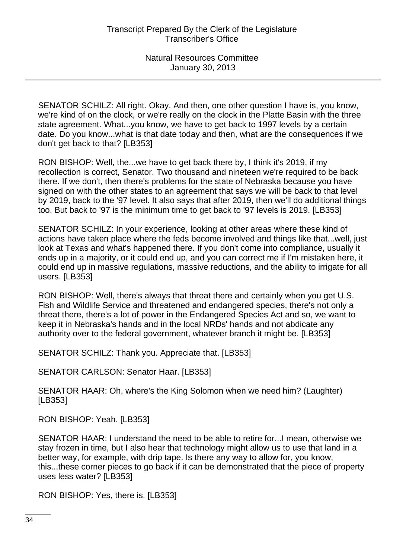SENATOR SCHILZ: All right. Okay. And then, one other question I have is, you know, we're kind of on the clock, or we're really on the clock in the Platte Basin with the three state agreement. What...you know, we have to get back to 1997 levels by a certain date. Do you know...what is that date today and then, what are the consequences if we don't get back to that? [LB353]

RON BISHOP: Well, the...we have to get back there by, I think it's 2019, if my recollection is correct, Senator. Two thousand and nineteen we're required to be back there. If we don't, then there's problems for the state of Nebraska because you have signed on with the other states to an agreement that says we will be back to that level by 2019, back to the '97 level. It also says that after 2019, then we'll do additional things too. But back to '97 is the minimum time to get back to '97 levels is 2019. [LB353]

SENATOR SCHILZ: In your experience, looking at other areas where these kind of actions have taken place where the feds become involved and things like that...well, just look at Texas and what's happened there. If you don't come into compliance, usually it ends up in a majority, or it could end up, and you can correct me if I'm mistaken here, it could end up in massive regulations, massive reductions, and the ability to irrigate for all users. [LB353]

RON BISHOP: Well, there's always that threat there and certainly when you get U.S. Fish and Wildlife Service and threatened and endangered species, there's not only a threat there, there's a lot of power in the Endangered Species Act and so, we want to keep it in Nebraska's hands and in the local NRDs' hands and not abdicate any authority over to the federal government, whatever branch it might be. [LB353]

SENATOR SCHILZ: Thank you. Appreciate that. [LB353]

SENATOR CARLSON: Senator Haar. [LB353]

SENATOR HAAR: Oh, where's the King Solomon when we need him? (Laughter) [LB353]

RON BISHOP: Yeah. [LB353]

SENATOR HAAR: I understand the need to be able to retire for...I mean, otherwise we stay frozen in time, but I also hear that technology might allow us to use that land in a better way, for example, with drip tape. Is there any way to allow for, you know, this...these corner pieces to go back if it can be demonstrated that the piece of property uses less water? [LB353]

RON BISHOP: Yes, there is. [LB353]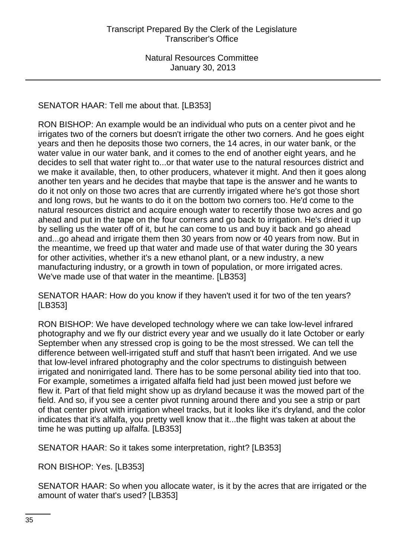# SENATOR HAAR: Tell me about that. [LB353]

RON BISHOP: An example would be an individual who puts on a center pivot and he irrigates two of the corners but doesn't irrigate the other two corners. And he goes eight years and then he deposits those two corners, the 14 acres, in our water bank, or the water value in our water bank, and it comes to the end of another eight years, and he decides to sell that water right to...or that water use to the natural resources district and we make it available, then, to other producers, whatever it might. And then it goes along another ten years and he decides that maybe that tape is the answer and he wants to do it not only on those two acres that are currently irrigated where he's got those short and long rows, but he wants to do it on the bottom two corners too. He'd come to the natural resources district and acquire enough water to recertify those two acres and go ahead and put in the tape on the four corners and go back to irrigation. He's dried it up by selling us the water off of it, but he can come to us and buy it back and go ahead and...go ahead and irrigate them then 30 years from now or 40 years from now. But in the meantime, we freed up that water and made use of that water during the 30 years for other activities, whether it's a new ethanol plant, or a new industry, a new manufacturing industry, or a growth in town of population, or more irrigated acres. We've made use of that water in the meantime. [LB353]

SENATOR HAAR: How do you know if they haven't used it for two of the ten years? [LB353]

RON BISHOP: We have developed technology where we can take low-level infrared photography and we fly our district every year and we usually do it late October or early September when any stressed crop is going to be the most stressed. We can tell the difference between well-irrigated stuff and stuff that hasn't been irrigated. And we use that low-level infrared photography and the color spectrums to distinguish between irrigated and nonirrigated land. There has to be some personal ability tied into that too. For example, sometimes a irrigated alfalfa field had just been mowed just before we flew it. Part of that field might show up as dryland because it was the mowed part of the field. And so, if you see a center pivot running around there and you see a strip or part of that center pivot with irrigation wheel tracks, but it looks like it's dryland, and the color indicates that it's alfalfa, you pretty well know that it...the flight was taken at about the time he was putting up alfalfa. [LB353]

SENATOR HAAR: So it takes some interpretation, right? [LB353]

RON BISHOP: Yes. [LB353]

SENATOR HAAR: So when you allocate water, is it by the acres that are irrigated or the amount of water that's used? [LB353]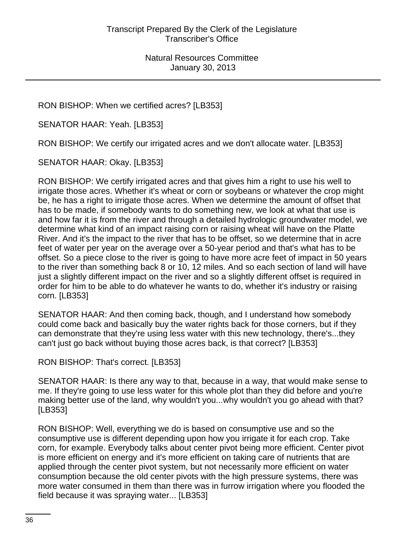RON BISHOP: When we certified acres? [LB353]

SENATOR HAAR: Yeah. [LB353]

RON BISHOP: We certify our irrigated acres and we don't allocate water. [LB353]

SENATOR HAAR: Okay. [LB353]

RON BISHOP: We certify irrigated acres and that gives him a right to use his well to irrigate those acres. Whether it's wheat or corn or soybeans or whatever the crop might be, he has a right to irrigate those acres. When we determine the amount of offset that has to be made, if somebody wants to do something new, we look at what that use is and how far it is from the river and through a detailed hydrologic groundwater model, we determine what kind of an impact raising corn or raising wheat will have on the Platte River. And it's the impact to the river that has to be offset, so we determine that in acre feet of water per year on the average over a 50-year period and that's what has to be offset. So a piece close to the river is going to have more acre feet of impact in 50 years to the river than something back 8 or 10, 12 miles. And so each section of land will have just a slightly different impact on the river and so a slightly different offset is required in order for him to be able to do whatever he wants to do, whether it's industry or raising corn. [LB353]

SENATOR HAAR: And then coming back, though, and I understand how somebody could come back and basically buy the water rights back for those corners, but if they can demonstrate that they're using less water with this new technology, there's...they can't just go back without buying those acres back, is that correct? [LB353]

RON BISHOP: That's correct. [LB353]

SENATOR HAAR: Is there any way to that, because in a way, that would make sense to me. If they're going to use less water for this whole plot than they did before and you're making better use of the land, why wouldn't you...why wouldn't you go ahead with that? [LB353]

RON BISHOP: Well, everything we do is based on consumptive use and so the consumptive use is different depending upon how you irrigate it for each crop. Take corn, for example. Everybody talks about center pivot being more efficient. Center pivot is more efficient on energy and it's more efficient on taking care of nutrients that are applied through the center pivot system, but not necessarily more efficient on water consumption because the old center pivots with the high pressure systems, there was more water consumed in them than there was in furrow irrigation where you flooded the field because it was spraying water... [LB353]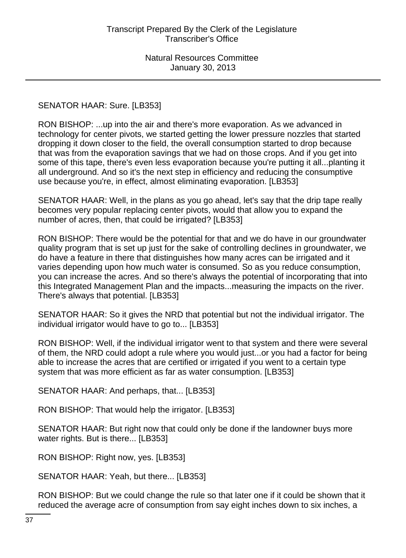### SENATOR HAAR: Sure. [LB353]

RON BISHOP: ...up into the air and there's more evaporation. As we advanced in technology for center pivots, we started getting the lower pressure nozzles that started dropping it down closer to the field, the overall consumption started to drop because that was from the evaporation savings that we had on those crops. And if you get into some of this tape, there's even less evaporation because you're putting it all...planting it all underground. And so it's the next step in efficiency and reducing the consumptive use because you're, in effect, almost eliminating evaporation. [LB353]

SENATOR HAAR: Well, in the plans as you go ahead, let's say that the drip tape really becomes very popular replacing center pivots, would that allow you to expand the number of acres, then, that could be irrigated? [LB353]

RON BISHOP: There would be the potential for that and we do have in our groundwater quality program that is set up just for the sake of controlling declines in groundwater, we do have a feature in there that distinguishes how many acres can be irrigated and it varies depending upon how much water is consumed. So as you reduce consumption, you can increase the acres. And so there's always the potential of incorporating that into this Integrated Management Plan and the impacts...measuring the impacts on the river. There's always that potential. [LB353]

SENATOR HAAR: So it gives the NRD that potential but not the individual irrigator. The individual irrigator would have to go to... [LB353]

RON BISHOP: Well, if the individual irrigator went to that system and there were several of them, the NRD could adopt a rule where you would just...or you had a factor for being able to increase the acres that are certified or irrigated if you went to a certain type system that was more efficient as far as water consumption. [LB353]

SENATOR HAAR: And perhaps, that... [LB353]

RON BISHOP: That would help the irrigator. [LB353]

SENATOR HAAR: But right now that could only be done if the landowner buys more water rights. But is there... [LB353]

RON BISHOP: Right now, yes. [LB353]

SENATOR HAAR: Yeah, but there... [LB353]

RON BISHOP: But we could change the rule so that later one if it could be shown that it reduced the average acre of consumption from say eight inches down to six inches, a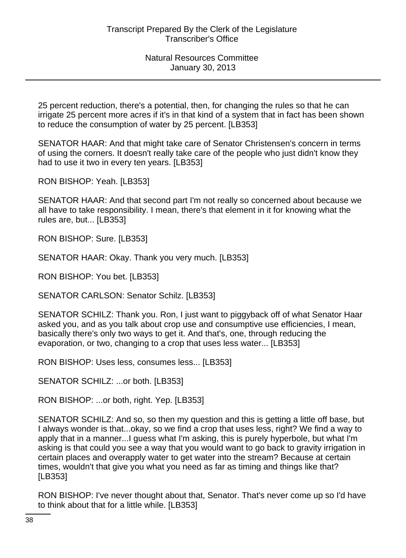25 percent reduction, there's a potential, then, for changing the rules so that he can irrigate 25 percent more acres if it's in that kind of a system that in fact has been shown to reduce the consumption of water by 25 percent. [LB353]

SENATOR HAAR: And that might take care of Senator Christensen's concern in terms of using the corners. It doesn't really take care of the people who just didn't know they had to use it two in every ten years. [LB353]

RON BISHOP: Yeah. [LB353]

SENATOR HAAR: And that second part I'm not really so concerned about because we all have to take responsibility. I mean, there's that element in it for knowing what the rules are, but... [LB353]

RON BISHOP: Sure. [LB353]

SENATOR HAAR: Okay. Thank you very much. [LB353]

RON BISHOP: You bet. [LB353]

SENATOR CARLSON: Senator Schilz. [LB353]

SENATOR SCHILZ: Thank you. Ron, I just want to piggyback off of what Senator Haar asked you, and as you talk about crop use and consumptive use efficiencies, I mean, basically there's only two ways to get it. And that's, one, through reducing the evaporation, or two, changing to a crop that uses less water... [LB353]

RON BISHOP: Uses less, consumes less... [LB353]

SENATOR SCHILZ: ...or both. [LB353]

RON BISHOP: ...or both, right. Yep. [LB353]

SENATOR SCHILZ: And so, so then my question and this is getting a little off base, but I always wonder is that...okay, so we find a crop that uses less, right? We find a way to apply that in a manner...I guess what I'm asking, this is purely hyperbole, but what I'm asking is that could you see a way that you would want to go back to gravity irrigation in certain places and overapply water to get water into the stream? Because at certain times, wouldn't that give you what you need as far as timing and things like that? [LB353]

RON BISHOP: I've never thought about that, Senator. That's never come up so I'd have to think about that for a little while. [LB353]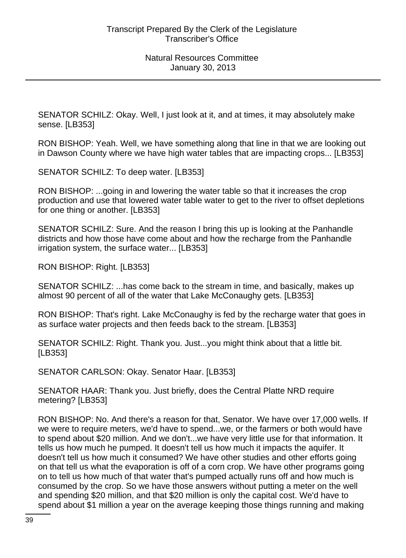SENATOR SCHILZ: Okay. Well, I just look at it, and at times, it may absolutely make sense. [LB353]

RON BISHOP: Yeah. Well, we have something along that line in that we are looking out in Dawson County where we have high water tables that are impacting crops... [LB353]

SENATOR SCHILZ: To deep water. [LB353]

RON BISHOP: ...going in and lowering the water table so that it increases the crop production and use that lowered water table water to get to the river to offset depletions for one thing or another. [LB353]

SENATOR SCHILZ: Sure. And the reason I bring this up is looking at the Panhandle districts and how those have come about and how the recharge from the Panhandle irrigation system, the surface water... [LB353]

RON BISHOP: Right. [LB353]

SENATOR SCHILZ: ...has come back to the stream in time, and basically, makes up almost 90 percent of all of the water that Lake McConaughy gets. [LB353]

RON BISHOP: That's right. Lake McConaughy is fed by the recharge water that goes in as surface water projects and then feeds back to the stream. [LB353]

SENATOR SCHILZ: Right. Thank you. Just...you might think about that a little bit. [LB353]

SENATOR CARLSON: Okay. Senator Haar. [LB353]

SENATOR HAAR: Thank you. Just briefly, does the Central Platte NRD require metering? [LB353]

RON BISHOP: No. And there's a reason for that, Senator. We have over 17,000 wells. If we were to require meters, we'd have to spend...we, or the farmers or both would have to spend about \$20 million. And we don't...we have very little use for that information. It tells us how much he pumped. It doesn't tell us how much it impacts the aquifer. It doesn't tell us how much it consumed? We have other studies and other efforts going on that tell us what the evaporation is off of a corn crop. We have other programs going on to tell us how much of that water that's pumped actually runs off and how much is consumed by the crop. So we have those answers without putting a meter on the well and spending \$20 million, and that \$20 million is only the capital cost. We'd have to spend about \$1 million a year on the average keeping those things running and making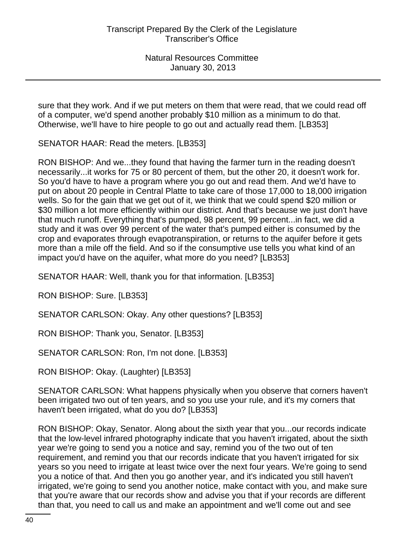sure that they work. And if we put meters on them that were read, that we could read off of a computer, we'd spend another probably \$10 million as a minimum to do that. Otherwise, we'll have to hire people to go out and actually read them. [LB353]

SENATOR HAAR: Read the meters. [LB353]

RON BISHOP: And we...they found that having the farmer turn in the reading doesn't necessarily...it works for 75 or 80 percent of them, but the other 20, it doesn't work for. So you'd have to have a program where you go out and read them. And we'd have to put on about 20 people in Central Platte to take care of those 17,000 to 18,000 irrigation wells. So for the gain that we get out of it, we think that we could spend \$20 million or \$30 million a lot more efficiently within our district. And that's because we just don't have that much runoff. Everything that's pumped, 98 percent, 99 percent...in fact, we did a study and it was over 99 percent of the water that's pumped either is consumed by the crop and evaporates through evapotranspiration, or returns to the aquifer before it gets more than a mile off the field. And so if the consumptive use tells you what kind of an impact you'd have on the aquifer, what more do you need? [LB353]

SENATOR HAAR: Well, thank you for that information. [LB353]

RON BISHOP: Sure. [LB353]

SENATOR CARLSON: Okay. Any other questions? [LB353]

RON BISHOP: Thank you, Senator. [LB353]

SENATOR CARLSON: Ron, I'm not done. [LB353]

RON BISHOP: Okay. (Laughter) [LB353]

SENATOR CARLSON: What happens physically when you observe that corners haven't been irrigated two out of ten years, and so you use your rule, and it's my corners that haven't been irrigated, what do you do? [LB353]

RON BISHOP: Okay, Senator. Along about the sixth year that you...our records indicate that the low-level infrared photography indicate that you haven't irrigated, about the sixth year we're going to send you a notice and say, remind you of the two out of ten requirement, and remind you that our records indicate that you haven't irrigated for six years so you need to irrigate at least twice over the next four years. We're going to send you a notice of that. And then you go another year, and it's indicated you still haven't irrigated, we're going to send you another notice, make contact with you, and make sure that you're aware that our records show and advise you that if your records are different than that, you need to call us and make an appointment and we'll come out and see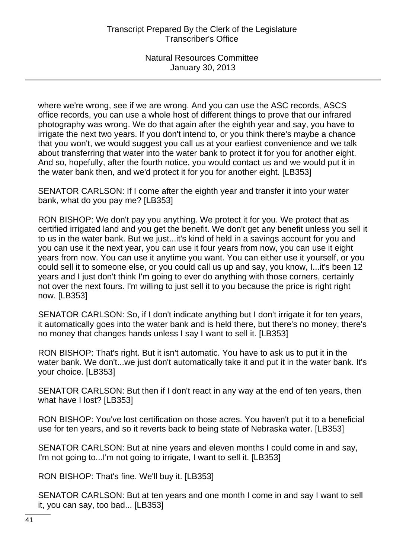where we're wrong, see if we are wrong. And you can use the ASC records, ASCS office records, you can use a whole host of different things to prove that our infrared photography was wrong. We do that again after the eighth year and say, you have to irrigate the next two years. If you don't intend to, or you think there's maybe a chance that you won't, we would suggest you call us at your earliest convenience and we talk about transferring that water into the water bank to protect it for you for another eight. And so, hopefully, after the fourth notice, you would contact us and we would put it in the water bank then, and we'd protect it for you for another eight. [LB353]

SENATOR CARLSON: If I come after the eighth year and transfer it into your water bank, what do you pay me? [LB353]

RON BISHOP: We don't pay you anything. We protect it for you. We protect that as certified irrigated land and you get the benefit. We don't get any benefit unless you sell it to us in the water bank. But we just...it's kind of held in a savings account for you and you can use it the next year, you can use it four years from now, you can use it eight years from now. You can use it anytime you want. You can either use it yourself, or you could sell it to someone else, or you could call us up and say, you know, I...it's been 12 years and I just don't think I'm going to ever do anything with those corners, certainly not over the next fours. I'm willing to just sell it to you because the price is right right now. [LB353]

SENATOR CARLSON: So, if I don't indicate anything but I don't irrigate it for ten years, it automatically goes into the water bank and is held there, but there's no money, there's no money that changes hands unless I say I want to sell it. [LB353]

RON BISHOP: That's right. But it isn't automatic. You have to ask us to put it in the water bank. We don't...we just don't automatically take it and put it in the water bank. It's your choice. [LB353]

SENATOR CARLSON: But then if I don't react in any way at the end of ten years, then what have I lost? [LB353]

RON BISHOP: You've lost certification on those acres. You haven't put it to a beneficial use for ten years, and so it reverts back to being state of Nebraska water. [LB353]

SENATOR CARLSON: But at nine years and eleven months I could come in and say, I'm not going to...I'm not going to irrigate, I want to sell it. [LB353]

RON BISHOP: That's fine. We'll buy it. [LB353]

SENATOR CARLSON: But at ten years and one month I come in and say I want to sell it, you can say, too bad... [LB353]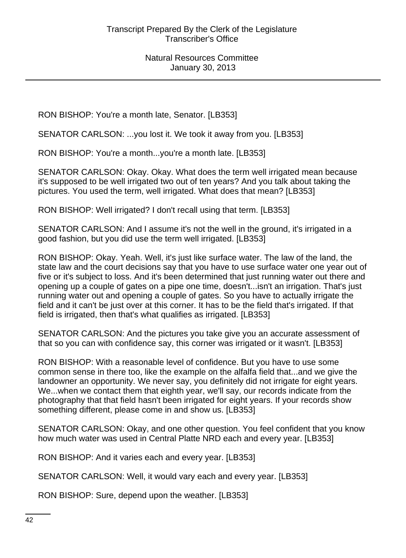RON BISHOP: You're a month late, Senator. [LB353]

SENATOR CARLSON: ...you lost it. We took it away from you. [LB353]

RON BISHOP: You're a month...you're a month late. [LB353]

SENATOR CARLSON: Okay. Okay. What does the term well irrigated mean because it's supposed to be well irrigated two out of ten years? And you talk about taking the pictures. You used the term, well irrigated. What does that mean? [LB353]

RON BISHOP: Well irrigated? I don't recall using that term. [LB353]

SENATOR CARLSON: And I assume it's not the well in the ground, it's irrigated in a good fashion, but you did use the term well irrigated. [LB353]

RON BISHOP: Okay. Yeah. Well, it's just like surface water. The law of the land, the state law and the court decisions say that you have to use surface water one year out of five or it's subject to loss. And it's been determined that just running water out there and opening up a couple of gates on a pipe one time, doesn't...isn't an irrigation. That's just running water out and opening a couple of gates. So you have to actually irrigate the field and it can't be just over at this corner. It has to be the field that's irrigated. If that field is irrigated, then that's what qualifies as irrigated. [LB353]

SENATOR CARLSON: And the pictures you take give you an accurate assessment of that so you can with confidence say, this corner was irrigated or it wasn't. [LB353]

RON BISHOP: With a reasonable level of confidence. But you have to use some common sense in there too, like the example on the alfalfa field that...and we give the landowner an opportunity. We never say, you definitely did not irrigate for eight years. We...when we contact them that eighth year, we'll say, our records indicate from the photography that that field hasn't been irrigated for eight years. If your records show something different, please come in and show us. [LB353]

SENATOR CARLSON: Okay, and one other question. You feel confident that you know how much water was used in Central Platte NRD each and every year. [LB353]

RON BISHOP: And it varies each and every year. [LB353]

SENATOR CARLSON: Well, it would vary each and every year. [LB353]

RON BISHOP: Sure, depend upon the weather. [LB353]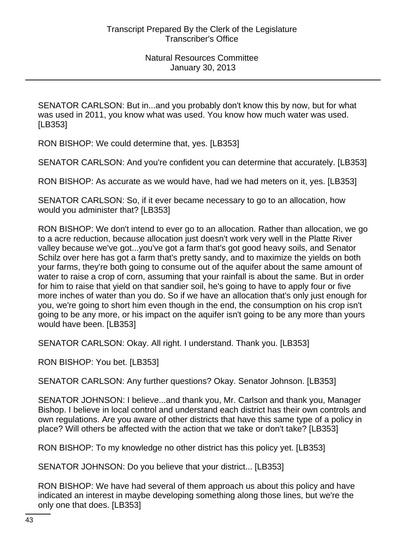SENATOR CARLSON: But in...and you probably don't know this by now, but for what was used in 2011, you know what was used. You know how much water was used. [LB353]

RON BISHOP: We could determine that, yes. [LB353]

SENATOR CARLSON: And you're confident you can determine that accurately. [LB353]

RON BISHOP: As accurate as we would have, had we had meters on it, yes. [LB353]

SENATOR CARLSON: So, if it ever became necessary to go to an allocation, how would you administer that? [LB353]

RON BISHOP: We don't intend to ever go to an allocation. Rather than allocation, we go to a acre reduction, because allocation just doesn't work very well in the Platte River valley because we've got...you've got a farm that's got good heavy soils, and Senator Schilz over here has got a farm that's pretty sandy, and to maximize the yields on both your farms, they're both going to consume out of the aquifer about the same amount of water to raise a crop of corn, assuming that your rainfall is about the same. But in order for him to raise that yield on that sandier soil, he's going to have to apply four or five more inches of water than you do. So if we have an allocation that's only just enough for you, we're going to short him even though in the end, the consumption on his crop isn't going to be any more, or his impact on the aquifer isn't going to be any more than yours would have been. [LB353]

SENATOR CARLSON: Okay. All right. I understand. Thank you. [LB353]

RON BISHOP: You bet. [LB353]

SENATOR CARLSON: Any further questions? Okay. Senator Johnson. [LB353]

SENATOR JOHNSON: I believe...and thank you, Mr. Carlson and thank you, Manager Bishop. I believe in local control and understand each district has their own controls and own regulations. Are you aware of other districts that have this same type of a policy in place? Will others be affected with the action that we take or don't take? [LB353]

RON BISHOP: To my knowledge no other district has this policy yet. [LB353]

SENATOR JOHNSON: Do you believe that your district... [LB353]

RON BISHOP: We have had several of them approach us about this policy and have indicated an interest in maybe developing something along those lines, but we're the only one that does. [LB353]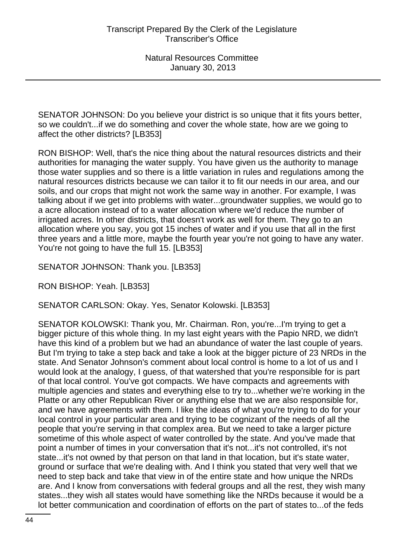SENATOR JOHNSON: Do you believe your district is so unique that it fits yours better, so we couldn't...if we do something and cover the whole state, how are we going to affect the other districts? [LB353]

RON BISHOP: Well, that's the nice thing about the natural resources districts and their authorities for managing the water supply. You have given us the authority to manage those water supplies and so there is a little variation in rules and regulations among the natural resources districts because we can tailor it to fit our needs in our area, and our soils, and our crops that might not work the same way in another. For example, I was talking about if we get into problems with water...groundwater supplies, we would go to a acre allocation instead of to a water allocation where we'd reduce the number of irrigated acres. In other districts, that doesn't work as well for them. They go to an allocation where you say, you got 15 inches of water and if you use that all in the first three years and a little more, maybe the fourth year you're not going to have any water. You're not going to have the full 15. [LB353]

SENATOR JOHNSON: Thank you. [LB353]

RON BISHOP: Yeah. [LB353]

SENATOR CARLSON: Okay. Yes, Senator Kolowski. [LB353]

SENATOR KOLOWSKI: Thank you, Mr. Chairman. Ron, you're...I'm trying to get a bigger picture of this whole thing. In my last eight years with the Papio NRD, we didn't have this kind of a problem but we had an abundance of water the last couple of years. But I'm trying to take a step back and take a look at the bigger picture of 23 NRDs in the state. And Senator Johnson's comment about local control is home to a lot of us and I would look at the analogy, I guess, of that watershed that you're responsible for is part of that local control. You've got compacts. We have compacts and agreements with multiple agencies and states and everything else to try to...whether we're working in the Platte or any other Republican River or anything else that we are also responsible for, and we have agreements with them. I like the ideas of what you're trying to do for your local control in your particular area and trying to be cognizant of the needs of all the people that you're serving in that complex area. But we need to take a larger picture sometime of this whole aspect of water controlled by the state. And you've made that point a number of times in your conversation that it's not...it's not controlled, it's not state...it's not owned by that person on that land in that location, but it's state water, ground or surface that we're dealing with. And I think you stated that very well that we need to step back and take that view in of the entire state and how unique the NRDs are. And I know from conversations with federal groups and all the rest, they wish many states...they wish all states would have something like the NRDs because it would be a lot better communication and coordination of efforts on the part of states to...of the feds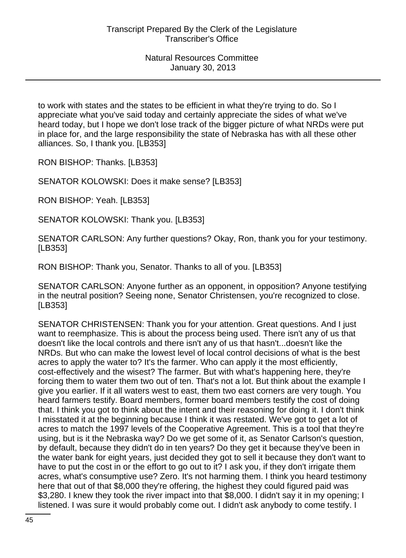to work with states and the states to be efficient in what they're trying to do. So I appreciate what you've said today and certainly appreciate the sides of what we've heard today, but I hope we don't lose track of the bigger picture of what NRDs were put in place for, and the large responsibility the state of Nebraska has with all these other alliances. So, I thank you. [LB353]

RON BISHOP: Thanks. [LB353]

SENATOR KOLOWSKI: Does it make sense? [LB353]

RON BISHOP: Yeah. [LB353]

SENATOR KOLOWSKI: Thank you. [LB353]

SENATOR CARLSON: Any further questions? Okay, Ron, thank you for your testimony. [LB353]

RON BISHOP: Thank you, Senator. Thanks to all of you. [LB353]

SENATOR CARLSON: Anyone further as an opponent, in opposition? Anyone testifying in the neutral position? Seeing none, Senator Christensen, you're recognized to close. [LB353]

SENATOR CHRISTENSEN: Thank you for your attention. Great questions. And I just want to reemphasize. This is about the process being used. There isn't any of us that doesn't like the local controls and there isn't any of us that hasn't...doesn't like the NRDs. But who can make the lowest level of local control decisions of what is the best acres to apply the water to? It's the farmer. Who can apply it the most efficiently, cost-effectively and the wisest? The farmer. But with what's happening here, they're forcing them to water them two out of ten. That's not a lot. But think about the example I give you earlier. If it all waters west to east, them two east corners are very tough. You heard farmers testify. Board members, former board members testify the cost of doing that. I think you got to think about the intent and their reasoning for doing it. I don't think I misstated it at the beginning because I think it was restated. We've got to get a lot of acres to match the 1997 levels of the Cooperative Agreement. This is a tool that they're using, but is it the Nebraska way? Do we get some of it, as Senator Carlson's question, by default, because they didn't do in ten years? Do they get it because they've been in the water bank for eight years, just decided they got to sell it because they don't want to have to put the cost in or the effort to go out to it? I ask you, if they don't irrigate them acres, what's consumptive use? Zero. It's not harming them. I think you heard testimony here that out of that \$8,000 they're offering, the highest they could figured paid was \$3,280. I knew they took the river impact into that \$8,000. I didn't say it in my opening; I listened. I was sure it would probably come out. I didn't ask anybody to come testify. I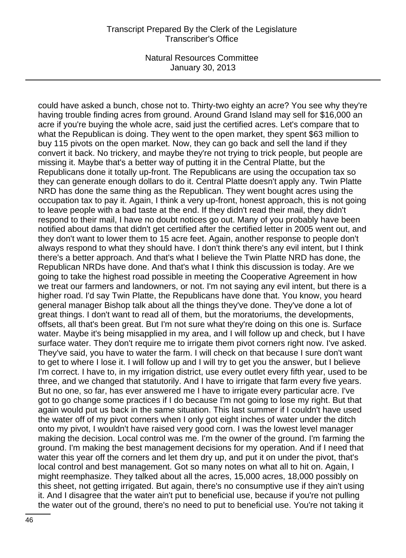could have asked a bunch, chose not to. Thirty-two eighty an acre? You see why they're having trouble finding acres from ground. Around Grand Island may sell for \$16,000 an acre if you're buying the whole acre, said just the certified acres. Let's compare that to what the Republican is doing. They went to the open market, they spent \$63 million to buy 115 pivots on the open market. Now, they can go back and sell the land if they convert it back. No trickery, and maybe they're not trying to trick people, but people are missing it. Maybe that's a better way of putting it in the Central Platte, but the Republicans done it totally up-front. The Republicans are using the occupation tax so they can generate enough dollars to do it. Central Platte doesn't apply any. Twin Platte NRD has done the same thing as the Republican. They went bought acres using the occupation tax to pay it. Again, I think a very up-front, honest approach, this is not going to leave people with a bad taste at the end. If they didn't read their mail, they didn't respond to their mail, I have no doubt notices go out. Many of you probably have been notified about dams that didn't get certified after the certified letter in 2005 went out, and they don't want to lower them to 15 acre feet. Again, another response to people don't always respond to what they should have. I don't think there's any evil intent, but I think there's a better approach. And that's what I believe the Twin Platte NRD has done, the Republican NRDs have done. And that's what I think this discussion is today. Are we going to take the highest road possible in meeting the Cooperative Agreement in how we treat our farmers and landowners, or not. I'm not saying any evil intent, but there is a higher road. I'd say Twin Platte, the Republicans have done that. You know, you heard general manager Bishop talk about all the things they've done. They've done a lot of great things. I don't want to read all of them, but the moratoriums, the developments, offsets, all that's been great. But I'm not sure what they're doing on this one is. Surface water. Maybe it's being misapplied in my area, and I will follow up and check, but I have surface water. They don't require me to irrigate them pivot corners right now. I've asked. They've said, you have to water the farm. I will check on that because I sure don't want to get to where I lose it. I will follow up and I will try to get you the answer, but I believe I'm correct. I have to, in my irrigation district, use every outlet every fifth year, used to be three, and we changed that statutorily. And I have to irrigate that farm every five years. But no one, so far, has ever answered me I have to irrigate every particular acre. I've got to go change some practices if I do because I'm not going to lose my right. But that again would put us back in the same situation. This last summer if I couldn't have used the water off of my pivot corners when I only got eight inches of water under the ditch onto my pivot, I wouldn't have raised very good corn. I was the lowest level manager making the decision. Local control was me. I'm the owner of the ground. I'm farming the ground. I'm making the best management decisions for my operation. And if I need that water this year off the corners and let them dry up, and put it on under the pivot, that's local control and best management. Got so many notes on what all to hit on. Again, I might reemphasize. They talked about all the acres, 15,000 acres, 18,000 possibly on this sheet, not getting irrigated. But again, there's no consumptive use if they ain't using it. And I disagree that the water ain't put to beneficial use, because if you're not pulling the water out of the ground, there's no need to put to beneficial use. You're not taking it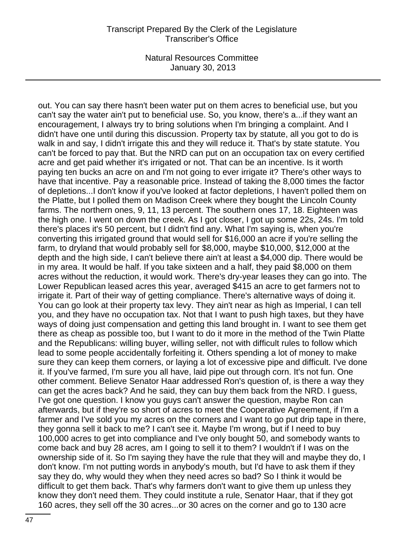out. You can say there hasn't been water put on them acres to beneficial use, but you can't say the water ain't put to beneficial use. So, you know, there's a...if they want an encouragement, I always try to bring solutions when I'm bringing a complaint. And I didn't have one until during this discussion. Property tax by statute, all you got to do is walk in and say, I didn't irrigate this and they will reduce it. That's by state statute. You can't be forced to pay that. But the NRD can put on an occupation tax on every certified acre and get paid whether it's irrigated or not. That can be an incentive. Is it worth paying ten bucks an acre on and I'm not going to ever irrigate it? There's other ways to have that incentive. Pay a reasonable price. Instead of taking the 8,000 times the factor of depletions...I don't know if you've looked at factor depletions, I haven't polled them on the Platte, but I polled them on Madison Creek where they bought the Lincoln County farms. The northern ones, 9, 11, 13 percent. The southern ones 17, 18. Eighteen was the high one. I went on down the creek. As I got closer, I got up some 22s, 24s. I'm told there's places it's 50 percent, but I didn't find any. What I'm saying is, when you're converting this irrigated ground that would sell for \$16,000 an acre if you're selling the farm, to dryland that would probably sell for \$8,000, maybe \$10,000, \$12,000 at the depth and the high side, I can't believe there ain't at least a \$4,000 dip. There would be in my area. It would be half. If you take sixteen and a half, they paid \$8,000 on them acres without the reduction, it would work. There's dry-year leases they can go into. The Lower Republican leased acres this year, averaged \$415 an acre to get farmers not to irrigate it. Part of their way of getting compliance. There's alternative ways of doing it. You can go look at their property tax levy. They ain't near as high as Imperial, I can tell you, and they have no occupation tax. Not that I want to push high taxes, but they have ways of doing just compensation and getting this land brought in. I want to see them get there as cheap as possible too, but I want to do it more in the method of the Twin Platte and the Republicans: willing buyer, willing seller, not with difficult rules to follow which lead to some people accidentally forfeiting it. Others spending a lot of money to make sure they can keep them corners, or laying a lot of excessive pipe and difficult. I've done it. If you've farmed, I'm sure you all have, laid pipe out through corn. It's not fun. One other comment. Believe Senator Haar addressed Ron's question of, is there a way they can get the acres back? And he said, they can buy them back from the NRD. I guess, I've got one question. I know you guys can't answer the question, maybe Ron can afterwards, but if they're so short of acres to meet the Cooperative Agreement, if I'm a farmer and I've sold you my acres on the corners and I want to go put drip tape in there, they gonna sell it back to me? I can't see it. Maybe I'm wrong, but if I need to buy 100,000 acres to get into compliance and I've only bought 50, and somebody wants to come back and buy 28 acres, am I going to sell it to them? I wouldn't if I was on the ownership side of it. So I'm saying they have the rule that they will and maybe they do, I don't know. I'm not putting words in anybody's mouth, but I'd have to ask them if they say they do, why would they when they need acres so bad? So I think it would be difficult to get them back. That's why farmers don't want to give them up unless they know they don't need them. They could institute a rule, Senator Haar, that if they got 160 acres, they sell off the 30 acres...or 30 acres on the corner and go to 130 acre